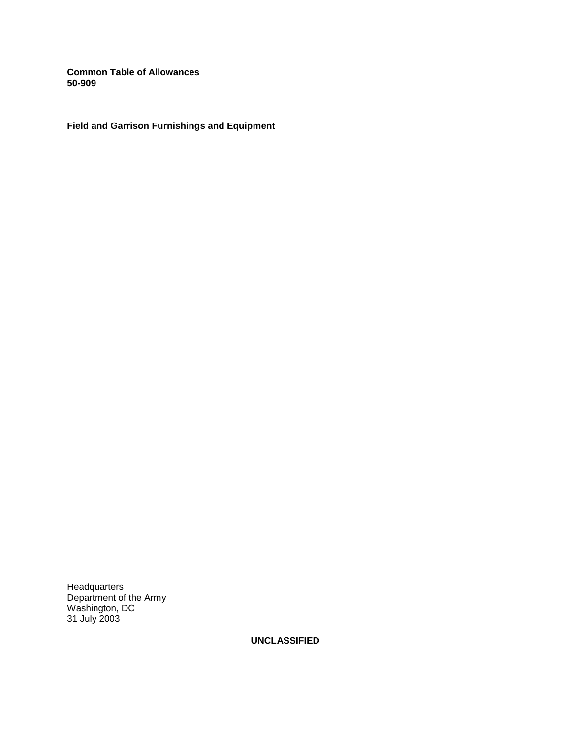**Common Table of Allowances 50-909** 

**Field and Garrison Furnishings and Equipment** 

**Headquarters** Department of the Army Washington, DC 31 July 2003

**UNCLASSIFIED**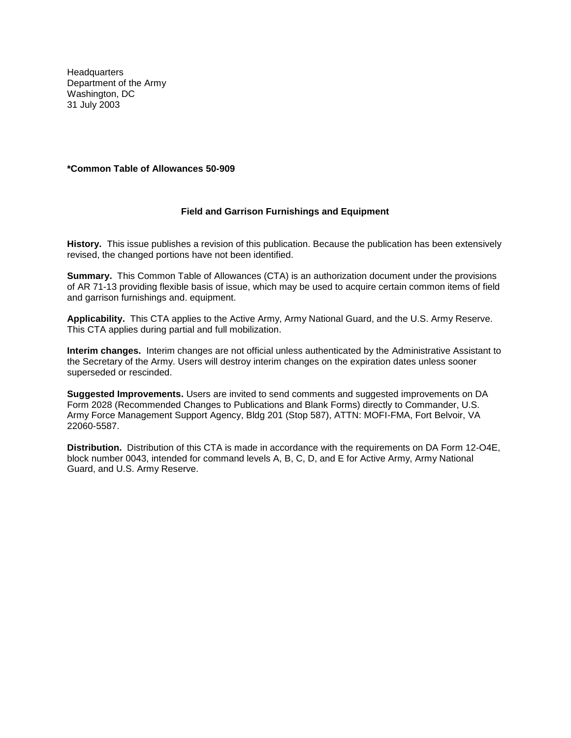**Headquarters** Department of the Army Washington, DC 31 July 2003

## **\*Common Table of Allowances 50-909**

## **Field and Garrison Furnishings and Equipment**

**History.** This issue publishes a revision of this publication. Because the publication has been extensively revised, the changed portions have not been identified.

**Summary.** This Common Table of Allowances (CTA) is an authorization document under the provisions of AR 71-13 providing flexible basis of issue, which may be used to acquire certain common items of field and garrison furnishings and. equipment.

**Applicability.** This CTA applies to the Active Army, Army National Guard, and the U.S. Army Reserve. This CTA applies during partial and full mobilization.

**Interim changes.** Interim changes are not official unless authenticated by the Administrative Assistant to the Secretary of the Army. Users will destroy interim changes on the expiration dates unless sooner superseded or rescinded.

**Suggested Improvements.** Users are invited to send comments and suggested improvements on DA Form 2028 (Recommended Changes to Publications and Blank Forms) directly to Commander, U.S. Army Force Management Support Agency, Bldg 201 (Stop 587), ATTN: MOFI-FMA, Fort Belvoir, VA 22060-5587.

**Distribution.** Distribution of this CTA is made in accordance with the requirements on DA Form 12-O4E, block number 0043, intended for command levels A, B, C, D, and E for Active Army, Army National Guard, and U.S. Army Reserve.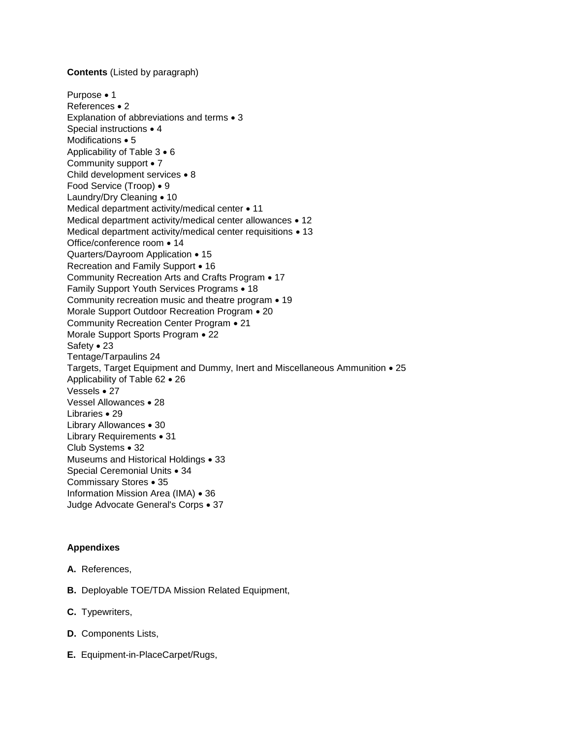## **Contents** (Listed by paragraph)

```
Purpose • 1
References • 2
Explanation of abbreviations and terms • 3
Special instructions • 4
Modifications \bullet 5
Applicability of Table 3 \cdot 6
Community support • 7
Child development services • 8
Food Service (Troop) • 9
Laundry/Dry Cleaning • 10
Medical department activity/medical center • 11
Medical department activity/medical center allowances • 12
Medical department activity/medical center requisitions \bullet 13
Office/conference room • 14
Quarters/Dayroom Application • 15
Recreation and Family Support • 16
Community Recreation Arts and Crafts Program . 17
Family Support Youth Services Programs • 18
Community recreation music and theatre program • 19
Morale Support Outdoor Recreation Program • 20
Community Recreation Center Program  21 
Morale Support Sports Program • 22
Safety • 23
Tentage/Tarpaulins 24 
Targets, Target Equipment and Dummy, Inert and Miscellaneous Ammunition  25 
Applicability of Table 62 . 26
Vessels • 27
Vessel Allowances • 28
Libraries • 29
Library Allowances • 30
Library Requirements • 31
Club Systems • 32
Museums and Historical Holdings • 33
Special Ceremonial Units • 34
Commissary Stores • 35
Information Mission Area (IMA) • 36
Judge Advocate General's Corps • 37
```
# **Appendixes**

- **A.** References,
- **B.** Deployable TOE/TDA Mission Related Equipment,
- **C.** Typewriters,
- **D.** Components Lists,
- **E.** Equipment-in-PlaceCarpet/Rugs,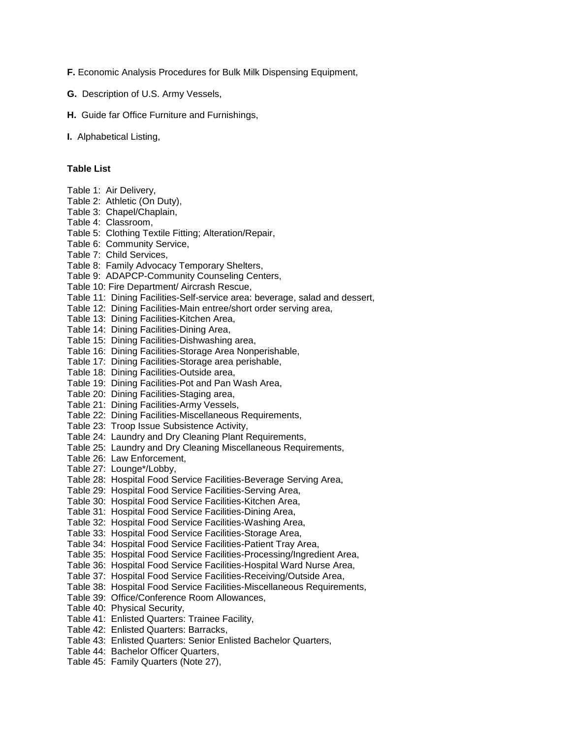**F.** Economic Analysis Procedures for Bulk Milk Dispensing Equipment,

- **G.** Description of U.S. Army Vessels,
- **H.** Guide far Office Furniture and Furnishings,
- **I.** Alphabetical Listing,

# **Table List**

- Table 1: Air Delivery, Table 2: Athletic (On Duty), Table 3: Chapel/Chaplain, Table 4: Classroom, Table 5: Clothing Textile Fitting; Alteration/Repair, Table 6: Community Service, Table 7: Child Services, Table 8: Family Advocacy Temporary Shelters, Table 9: ADAPCP-Community Counseling Centers, Table 10: Fire Department/ Aircrash Rescue, Table 11: Dining Facilities-Self-service area: beverage, salad and dessert, Table 12: Dining Facilities-Main entree/short order serving area, Table 13: Dining Facilities-Kitchen Area, Table 14: Dining Facilities-Dining Area, Table 15: Dining Facilities-Dishwashing area, Table 16: Dining Facilities-Storage Area Nonperishable, Table 17: Dining Facilities-Storage area perishable, Table 18: Dining Facilities-Outside area, Table 19: Dining Facilities-Pot and Pan Wash Area, Table 20: Dining Facilities-Staging area, Table 21: Dining Facilities-Army Vessels, Table 22: Dining Facilities-Miscellaneous Requirements, Table 23: Troop Issue Subsistence Activity, Table 24: Laundry and Dry Cleaning Plant Requirements, Table 25: Laundry and Dry Cleaning Miscellaneous Requirements, Table 26: Law Enforcement, Table 27: Lounge\*/Lobby, Table 28: Hospital Food Service Facilities-Beverage Serving Area, Table 29: Hospital Food Service Facilities-Serving Area, Table 30: Hospital Food Service Facilities-Kitchen Area, Table 31: Hospital Food Service Facilities-Dining Area, Table 32: Hospital Food Service Facilities-Washing Area,
- Table 33: Hospital Food Service Facilities-Storage Area,
- Table 34: Hospital Food Service Facilities-Patient Tray Area,
- Table 35: Hospital Food Service Facilities-Processing/Ingredient Area,
- Table 36: Hospital Food Service Facilities-Hospital Ward Nurse Area,
- Table 37: Hospital Food Service Facilities-Receiving/Outside Area,
- Table 38: Hospital Food Service Facilities-Miscellaneous Requirements,
- Table 39: Office/Conference Room Allowances,
- Table 40: Physical Security,
- Table 41: Enlisted Quarters: Trainee Facility,
- Table 42: Enlisted Quarters: Barracks,
- Table 43: Enlisted Quarters: Senior Enlisted Bachelor Quarters,
- Table 44: Bachelor Officer Quarters,
- Table 45: Family Quarters (Note 27),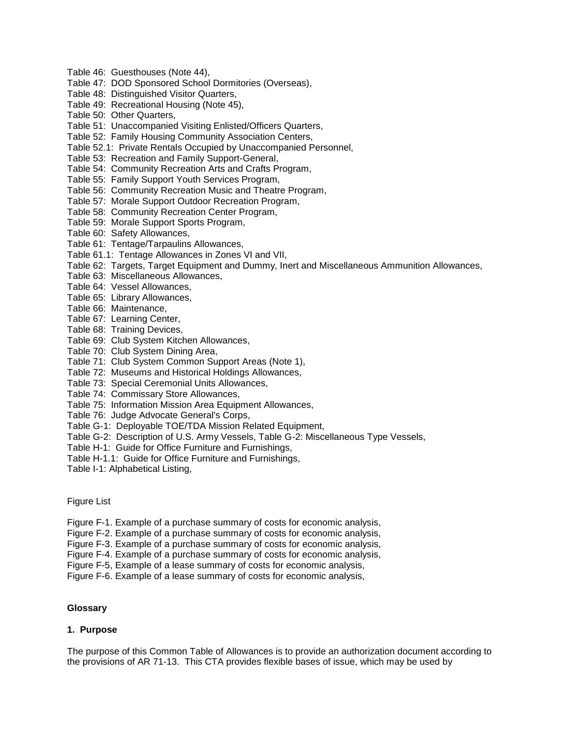- Table 46: Guesthouses (Note 44),
- Table 47: DOD Sponsored School Dormitories (Overseas),
- Table 48: Distinguished Visitor Quarters,
- Table 49: Recreational Housing (Note 45),
- Table 50: Other Quarters,
- Table 51: Unaccompanied Visiting Enlisted/Officers Quarters,
- Table 52: Family Housing Community Association Centers,
- Table 52.1: Private Rentals Occupied by Unaccompanied Personnel,
- Table 53: Recreation and Family Support-General,
- Table 54: Community Recreation Arts and Crafts Program,
- Table 55: Family Support Youth Services Program,
- Table 56: Community Recreation Music and Theatre Program,
- Table 57: Morale Support Outdoor Recreation Program,
- Table 58: Community Recreation Center Program,
- Table 59: Morale Support Sports Program,
- Table 60: Safety Allowances,
- Table 61: Tentage/Tarpaulins Allowances,
- Table 61.1: Tentage Allowances in Zones VI and VII,
- Table 62: Targets, Target Equipment and Dummy, Inert and Miscellaneous Ammunition Allowances,
- Table 63: Miscellaneous Allowances,
- Table 64: Vessel Allowances,
- Table 65: Library Allowances,
- Table 66: Maintenance,
- Table 67: Learning Center,
- Table 68: Training Devices,
- Table 69: Club System Kitchen Allowances,
- Table 70: Club System Dining Area,
- Table 71: Club System Common Support Areas (Note 1),
- Table 72: Museums and Historical Holdings Allowances,
- Table 73: Special Ceremonial Units Allowances,
- Table 74: Commissary Store Allowances,
- Table 75: Information Mission Area Equipment Allowances,
- Table 76: Judge Advocate General's Corps,
- Table G-1: Deployable TOE/TDA Mission Related Equipment,
- Table G-2: Description of U.S. Army Vessels, Table G-2: Miscellaneous Type Vessels,
- Table H-1: Guide for Office Furniture and Furnishings,
- Table H-1.1: Guide for Office Furniture and Furnishings,
- Table I-1: Alphabetical Listing,

Figure List

- Figure F-1. Example of a purchase summary of costs for economic analysis,
- Figure F-2. Example of a purchase summary of costs for economic analysis,
- Figure F-3. Example of a purchase summary of costs for economic analysis,
- Figure F-4. Example of a purchase summary of costs for economic analysis,
- Figure F-5, Example of a lease summary of costs for economic analysis,
- Figure F-6. Example of a lease summary of costs for economic analysis,

## **Glossary**

## **1. Purpose**

The purpose of this Common Table of Allowances is to provide an authorization document according to the provisions of AR 71-13. This CTA provides flexible bases of issue, which may be used by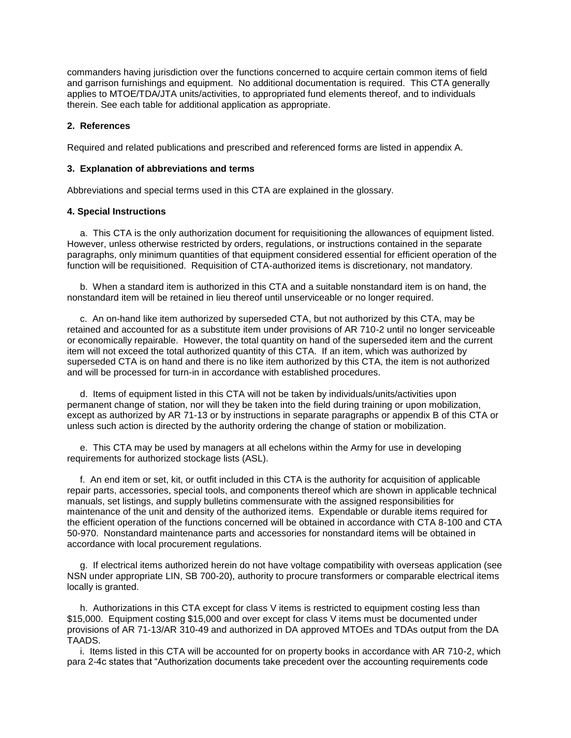commanders having jurisdiction over the functions concerned to acquire certain common items of field and garrison furnishings and equipment. No additional documentation is required. This CTA generally applies to MTOE/TDA/JTA units/activities, to appropriated fund elements thereof, and to individuals therein. See each table for additional application as appropriate.

## **2. References**

Required and related publications and prescribed and referenced forms are listed in appendix A.

## **3. Explanation of abbreviations and terms**

Abbreviations and special terms used in this CTA are explained in the glossary.

## **4. Special Instructions**

 a. This CTA is the only authorization document for requisitioning the allowances of equipment listed. However, unless otherwise restricted by orders, regulations, or instructions contained in the separate paragraphs, only minimum quantities of that equipment considered essential for efficient operation of the function will be requisitioned. Requisition of CTA-authorized items is discretionary, not mandatory.

 b. When a standard item is authorized in this CTA and a suitable nonstandard item is on hand, the nonstandard item will be retained in lieu thereof until unserviceable or no longer required.

 c. An on-hand like item authorized by superseded CTA, but not authorized by this CTA, may be retained and accounted for as a substitute item under provisions of AR 710-2 until no longer serviceable or economically repairable. However, the total quantity on hand of the superseded item and the current item will not exceed the total authorized quantity of this CTA. If an item, which was authorized by superseded CTA is on hand and there is no like item authorized by this CTA, the item is not authorized and will be processed for turn-in in accordance with established procedures.

 d. Items of equipment listed in this CTA will not be taken by individuals/units/activities upon permanent change of station, nor will they be taken into the field during training or upon mobilization, except as authorized by AR 71-13 or by instructions in separate paragraphs or appendix B of this CTA or unless such action is directed by the authority ordering the change of station or mobilization.

 e. This CTA may be used by managers at all echelons within the Army for use in developing requirements for authorized stockage lists (ASL).

 f. An end item or set, kit, or outfit included in this CTA is the authority for acquisition of applicable repair parts, accessories, special tools, and components thereof which are shown in applicable technical manuals, set listings, and supply bulletins commensurate with the assigned responsibilities for maintenance of the unit and density of the authorized items. Expendable or durable items required for the efficient operation of the functions concerned will be obtained in accordance with CTA 8-100 and CTA 50-970. Nonstandard maintenance parts and accessories for nonstandard items will be obtained in accordance with local procurement regulations.

 g. If electrical items authorized herein do not have voltage compatibility with overseas application (see NSN under appropriate LIN, SB 700-20), authority to procure transformers or comparable electrical items locally is granted.

 h. Authorizations in this CTA except for class V items is restricted to equipment costing less than \$15,000. Equipment costing \$15,000 and over except for class V items must be documented under provisions of AR 71-13/AR 310-49 and authorized in DA approved MTOEs and TDAs output from the DA TAADS.

 i. Items listed in this CTA will be accounted for on property books in accordance with AR 710-2, which para 2-4c states that "Authorization documents take precedent over the accounting requirements code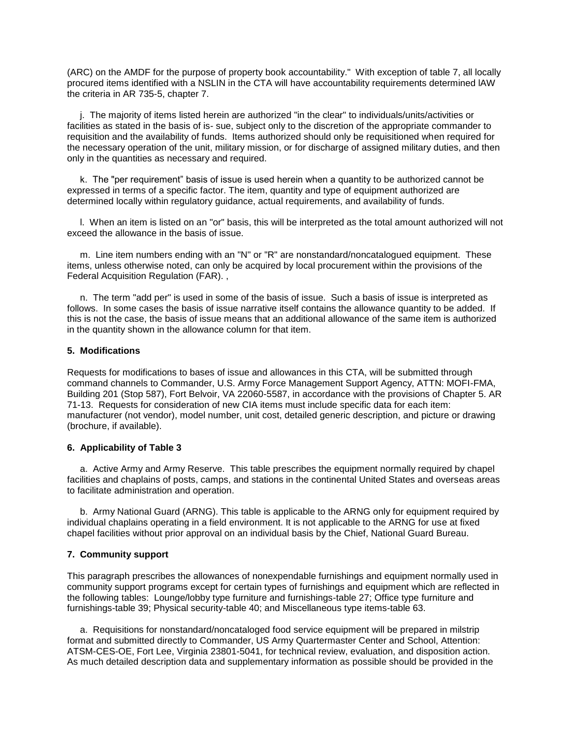(ARC) on the AMDF for the purpose of property book accountability." With exception of table 7, all locally procured items identified with a NSLIN in the CTA will have accountability requirements determined lAW the criteria in AR 735-5, chapter 7.

 j. The majority of items listed herein are authorized "in the clear" to individuals/units/activities or facilities as stated in the basis of is- sue, subject only to the discretion of the appropriate commander to requisition and the availability of funds. Items authorized should only be requisitioned when required for the necessary operation of the unit, military mission, or for discharge of assigned military duties, and then only in the quantities as necessary and required.

 k. The "per requirement" basis of issue is used herein when a quantity to be authorized cannot be expressed in terms of a specific factor. The item, quantity and type of equipment authorized are determined locally within regulatory guidance, actual requirements, and availability of funds.

 l. When an item is listed on an "or" basis, this will be interpreted as the total amount authorized will not exceed the allowance in the basis of issue.

 m. Line item numbers ending with an "N" or "R" are nonstandard/noncatalogued equipment. These items, unless otherwise noted, can only be acquired by local procurement within the provisions of the Federal Acquisition Regulation (FAR). ,

 n. The term "add per" is used in some of the basis of issue. Such a basis of issue is interpreted as follows. In some cases the basis of issue narrative itself contains the allowance quantity to be added. If this is not the case, the basis of issue means that an additional allowance of the same item is authorized in the quantity shown in the allowance column for that item.

## **5. Modifications**

Requests for modifications to bases of issue and allowances in this CTA, will be submitted through command channels to Commander, U.S. Army Force Management Support Agency, ATTN: MOFI-FMA, Building 201 (Stop 587), Fort Belvoir, VA 22060-5587, in accordance with the provisions of Chapter 5. AR 71-13. Requests for consideration of new CIA items must include specific data for each item: manufacturer (not vendor), model number, unit cost, detailed generic description, and picture or drawing (brochure, if available).

#### **6. Applicability of Table 3**

 a. Active Army and Army Reserve. This table prescribes the equipment normally required by chapel facilities and chaplains of posts, camps, and stations in the continental United States and overseas areas to facilitate administration and operation.

 b. Army National Guard (ARNG). This table is applicable to the ARNG only for equipment required by individual chaplains operating in a field environment. It is not applicable to the ARNG for use at fixed chapel facilities without prior approval on an individual basis by the Chief, National Guard Bureau.

## **7. Community support**

This paragraph prescribes the allowances of nonexpendable furnishings and equipment normally used in community support programs except for certain types of furnishings and equipment which are reflected in the following tables: Lounge/lobby type furniture and furnishings-table 27; Office type furniture and furnishings-table 39; Physical security-table 40; and Miscellaneous type items-table 63.

 a. Requisitions for nonstandard/noncataloged food service equipment will be prepared in milstrip format and submitted directly to Commander, US Army Quartermaster Center and School, Attention: ATSM-CES-OE, Fort Lee, Virginia 23801-5041, for technical review, evaluation, and disposition action. As much detailed description data and supplementary information as possible should be provided in the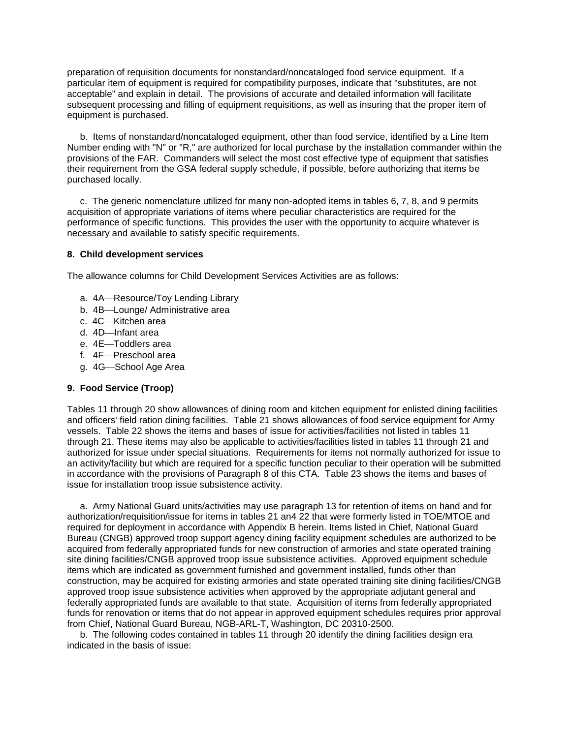preparation of requisition documents for nonstandard/noncataloged food service equipment. If a particular item of equipment is required for compatibility purposes, indicate that "substitutes, are not acceptable" and explain in detail. The provisions of accurate and detailed information will facilitate subsequent processing and filling of equipment requisitions, as well as insuring that the proper item of equipment is purchased.

 b. Items of nonstandard/noncataloged equipment, other than food service, identified by a Line Item Number ending with "N" or "R," are authorized for local purchase by the installation commander within the provisions of the FAR. Commanders will select the most cost effective type of equipment that satisfies their requirement from the GSA federal supply schedule, if possible, before authorizing that items be purchased locally.

 c. The generic nomenclature utilized for many non-adopted items in tables 6, 7, 8, and 9 permits acquisition of appropriate variations of items where peculiar characteristics are required for the performance of specific functions. This provides the user with the opportunity to acquire whatever is necessary and available to satisfy specific requirements.

## **8. Child development services**

The allowance columns for Child Development Services Activities are as follows:

- a. 4A Resource/Toy Lending Library
- b. 4B-Lounge/ Administrative area
- c. 4C-Kitchen area
- d. 4D-Infant area
- e. 4E-Toddlers area
- f. 4F-Preschool area
- g. 4G-School Age Area

## **9. Food Service (Troop)**

Tables 11 through 20 show allowances of dining room and kitchen equipment for enlisted dining facilities and officers' field ration dining facilities. Table 21 shows allowances of food service equipment for Army vessels. Table 22 shows the items and bases of issue for activities/facilities not listed in tables 11 through 21. These items may also be applicable to activities/facilities listed in tables 11 through 21 and authorized for issue under special situations. Requirements for items not normally authorized for issue to an activity/facility but which are required for a specific function peculiar to their operation will be submitted in accordance with the provisions of Paragraph 8 of this CTA. Table 23 shows the items and bases of issue for installation troop issue subsistence activity.

 a. Army National Guard units/activities may use paragraph 13 for retention of items on hand and for authorization/requisition/issue for items in tables 21 an4 22 that were formerly listed in TOE/MTOE and required for deployment in accordance with Appendix B herein. Items listed in Chief, National Guard Bureau (CNGB) approved troop support agency dining facility equipment schedules are authorized to be acquired from federally appropriated funds for new construction of armories and state operated training site dining facilities/CNGB approved troop issue subsistence activities. Approved equipment schedule items which are indicated as government furnished and government installed, funds other than construction, may be acquired for existing armories and state operated training site dining facilities/CNGB approved troop issue subsistence activities when approved by the appropriate adjutant general and federally appropriated funds are available to that state. Acquisition of items from federally appropriated funds for renovation or items that do not appear in approved equipment schedules requires prior approval from Chief, National Guard Bureau, NGB-ARL-T, Washington, DC 20310-2500.

 b. The following codes contained in tables 11 through 20 identify the dining facilities design era indicated in the basis of issue: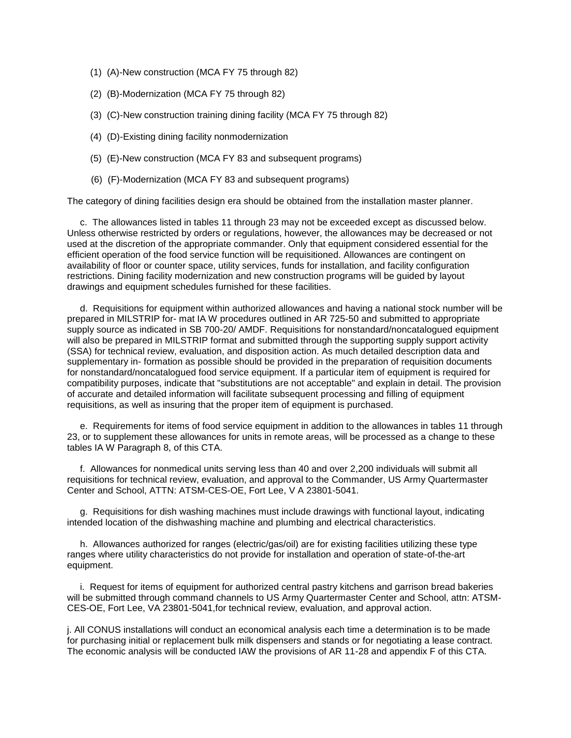- (1) (A)-New construction (MCA FY 75 through 82)
- (2) (B)-Modernization (MCA FY 75 through 82)
- (3) (C)-New construction training dining facility (MCA FY 75 through 82)
- (4) (D)-Existing dining facility nonmodernization
- (5) (E)-New construction (MCA FY 83 and subsequent programs)
- (6) (F)-Modernization (MCA FY 83 and subsequent programs)

The category of dining facilities design era should be obtained from the installation master planner.

 c. The allowances listed in tables 11 through 23 may not be exceeded except as discussed below. Unless otherwise restricted by orders or regulations, however, the allowances may be decreased or not used at the discretion of the appropriate commander. Only that equipment considered essential for the efficient operation of the food service function will be requisitioned. Allowances are contingent on availability of floor or counter space, utility services, funds for installation, and facility configuration restrictions. Dining facility modernization and new construction programs will be guided by layout drawings and equipment schedules furnished for these facilities.

 d. Requisitions for equipment within authorized allowances and having a national stock number will be prepared in MILSTRIP for- mat IA W procedures outlined in AR 725-50 and submitted to appropriate supply source as indicated in SB 700-20/ AMDF. Requisitions for nonstandard/noncatalogued equipment will also be prepared in MILSTRIP format and submitted through the supporting supply support activity (SSA) for technical review, evaluation, and disposition action. As much detailed description data and supplementary in- formation as possible should be provided in the preparation of requisition documents for nonstandard/noncatalogued food service equipment. If a particular item of equipment is required for compatibility purposes, indicate that "substitutions are not acceptable" and explain in detail. The provision of accurate and detailed information will facilitate subsequent processing and filling of equipment requisitions, as well as insuring that the proper item of equipment is purchased.

 e. Requirements for items of food service equipment in addition to the allowances in tables 11 through 23, or to supplement these allowances for units in remote areas, will be processed as a change to these tables IA W Paragraph 8, of this CTA.

 f. Allowances for nonmedical units serving less than 40 and over 2,200 individuals will submit all requisitions for technical review, evaluation, and approval to the Commander, US Army Quartermaster Center and School, ATTN: ATSM-CES-OE, Fort Lee, V A 23801-5041.

 g. Requisitions for dish washing machines must include drawings with functional layout, indicating intended location of the dishwashing machine and plumbing and electrical characteristics.

 h. Allowances authorized for ranges (electric/gas/oil) are for existing facilities utilizing these type ranges where utility characteristics do not provide for installation and operation of state-of-the-art equipment.

 i. Request for items of equipment for authorized central pastry kitchens and garrison bread bakeries will be submitted through command channels to US Army Quartermaster Center and School, attn: ATSM-CES-OE, Fort Lee, VA 23801-5041,for technical review, evaluation, and approval action.

j. All CONUS installations will conduct an economical analysis each time a determination is to be made for purchasing initial or replacement bulk milk dispensers and stands or for negotiating a lease contract. The economic analysis will be conducted IAW the provisions of AR 11-28 and appendix F of this CTA.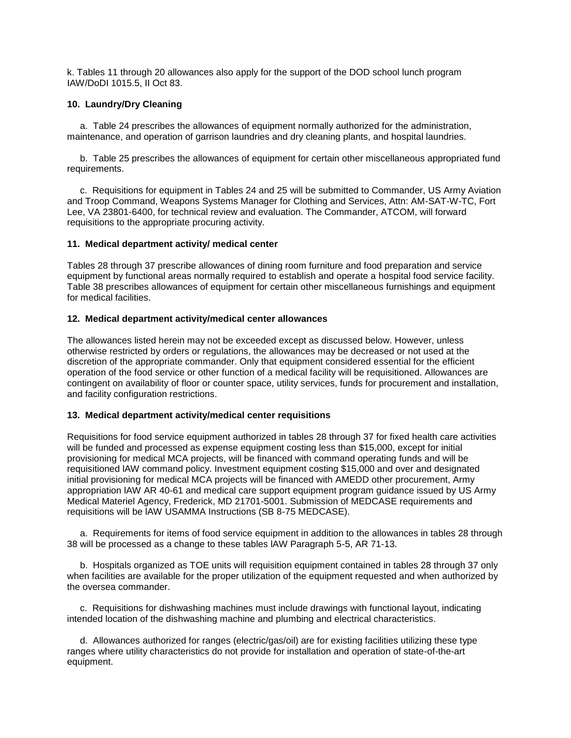k. Tables 11 through 20 allowances also apply for the support of the DOD school lunch program IAW/DoDI 1015.5, II Oct 83.

## **10. Laundry/Dry Cleaning**

 a. Table 24 prescribes the allowances of equipment normally authorized for the administration, maintenance, and operation of garrison laundries and dry cleaning plants, and hospital laundries.

 b. Table 25 prescribes the allowances of equipment for certain other miscellaneous appropriated fund requirements.

 c. Requisitions for equipment in Tables 24 and 25 will be submitted to Commander, US Army Aviation and Troop Command, Weapons Systems Manager for Clothing and Services, Attn: AM-SAT-W-TC, Fort Lee, VA 23801-6400, for technical review and evaluation. The Commander, ATCOM, will forward requisitions to the appropriate procuring activity.

## **11. Medical department activity/ medical center**

Tables 28 through 37 prescribe allowances of dining room furniture and food preparation and service equipment by functional areas normally required to establish and operate a hospital food service facility. Table 38 prescribes allowances of equipment for certain other miscellaneous furnishings and equipment for medical facilities.

# **12. Medical department activity/medical center allowances**

The allowances listed herein may not be exceeded except as discussed below. However, unless otherwise restricted by orders or regulations, the allowances may be decreased or not used at the discretion of the appropriate commander. Only that equipment considered essential for the efficient operation of the food service or other function of a medical facility will be requisitioned. Allowances are contingent on availability of floor or counter space, utility services, funds for procurement and installation, and facility configuration restrictions.

## **13. Medical department activity/medical center requisitions**

Requisitions for food service equipment authorized in tables 28 through 37 for fixed health care activities will be funded and processed as expense equipment costing less than \$15,000, except for initial provisioning for medical MCA projects, will be financed with command operating funds and will be requisitioned lAW command policy. Investment equipment costing \$15,000 and over and designated initial provisioning for medical MCA projects will be financed with AMEDD other procurement, Army appropriation lAW AR 40-61 and medical care support equipment program guidance issued by US Army Medical Materiel Agency, Frederick, MD 21701-5001. Submission of MEDCASE requirements and requisitions will be lAW USAMMA Instructions (SB 8-75 MEDCASE).

 a. Requirements for items of food service equipment in addition to the allowances in tables 28 through 38 will be processed as a change to these tables lAW Paragraph 5-5, AR 71-13.

 b. Hospitals organized as TOE units will requisition equipment contained in tables 28 through 37 only when facilities are available for the proper utilization of the equipment requested and when authorized by the oversea commander.

 c. Requisitions for dishwashing machines must include drawings with functional layout, indicating intended location of the dishwashing machine and plumbing and electrical characteristics.

 d. Allowances authorized for ranges (electric/gas/oil) are for existing facilities utilizing these type ranges where utility characteristics do not provide for installation and operation of state-of-the-art equipment.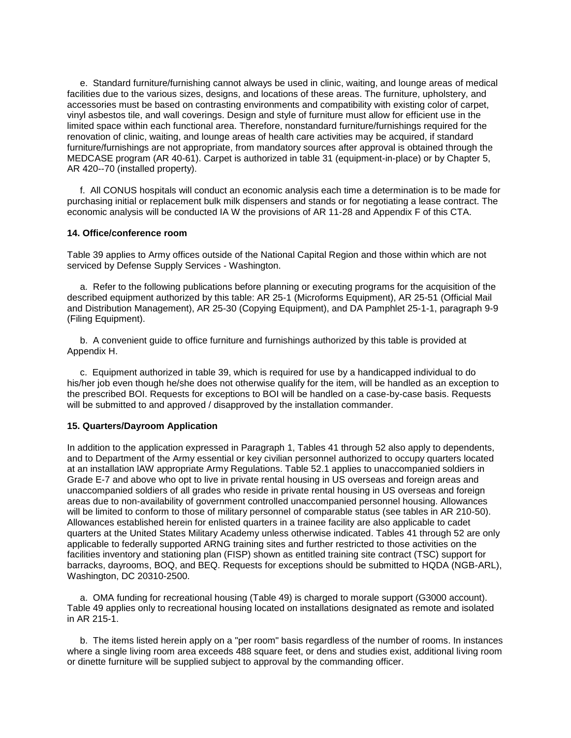e. Standard furniture/furnishing cannot always be used in clinic, waiting, and lounge areas of medical facilities due to the various sizes, designs, and locations of these areas. The furniture, upholstery, and accessories must be based on contrasting environments and compatibility with existing color of carpet, vinyl asbestos tile, and wall coverings. Design and style of furniture must allow for efficient use in the limited space within each functional area. Therefore, nonstandard furniture/furnishings required for the renovation of clinic, waiting, and lounge areas of health care activities may be acquired, if standard furniture/furnishings are not appropriate, from mandatory sources after approval is obtained through the MEDCASE program (AR 40-61). Carpet is authorized in table 31 (equipment-in-place) or by Chapter 5, AR 420--70 (installed property).

 f. All CONUS hospitals will conduct an economic analysis each time a determination is to be made for purchasing initial or replacement bulk milk dispensers and stands or for negotiating a lease contract. The economic analysis will be conducted IA W the provisions of AR 11-28 and Appendix F of this CTA.

## **14. Office/conference room**

Table 39 applies to Army offices outside of the National Capital Region and those within which are not serviced by Defense Supply Services - Washington.

 a. Refer to the following publications before planning or executing programs for the acquisition of the described equipment authorized by this table: AR 25-1 (Microforms Equipment), AR 25-51 (Official Mail and Distribution Management), AR 25-30 (Copying Equipment), and DA Pamphlet 25-1-1, paragraph 9-9 (Filing Equipment).

 b. A convenient guide to office furniture and furnishings authorized by this table is provided at Appendix H.

 c. Equipment authorized in table 39, which is required for use by a handicapped individual to do his/her job even though he/she does not otherwise qualify for the item, will be handled as an exception to the prescribed BOI. Requests for exceptions to BOI will be handled on a case-by-case basis. Requests will be submitted to and approved / disapproved by the installation commander.

## **15. Quarters/Dayroom Application**

In addition to the application expressed in Paragraph 1, Tables 41 through 52 also apply to dependents, and to Department of the Army essential or key civilian personnel authorized to occupy quarters located at an installation lAW appropriate Army Regulations. Table 52.1 applies to unaccompanied soldiers in Grade E-7 and above who opt to live in private rental housing in US overseas and foreign areas and unaccompanied soldiers of all grades who reside in private rental housing in US overseas and foreign areas due to non-availability of government controlled unaccompanied personnel housing. Allowances will be limited to conform to those of military personnel of comparable status (see tables in AR 210-50). Allowances established herein for enlisted quarters in a trainee facility are also applicable to cadet quarters at the United States Military Academy unless otherwise indicated. Tables 41 through 52 are only applicable to federally supported ARNG training sites and further restricted to those activities on the facilities inventory and stationing plan (FISP) shown as entitled training site contract (TSC) support for barracks, dayrooms, BOQ, and BEQ. Requests for exceptions should be submitted to HQDA (NGB-ARL), Washington, DC 20310-2500.

 a. OMA funding for recreational housing (Table 49) is charged to morale support (G3000 account). Table 49 applies only to recreational housing located on installations designated as remote and isolated in AR 215-1.

 b. The items listed herein apply on a "per room" basis regardless of the number of rooms. In instances where a single living room area exceeds 488 square feet, or dens and studies exist, additional living room or dinette furniture will be supplied subject to approval by the commanding officer.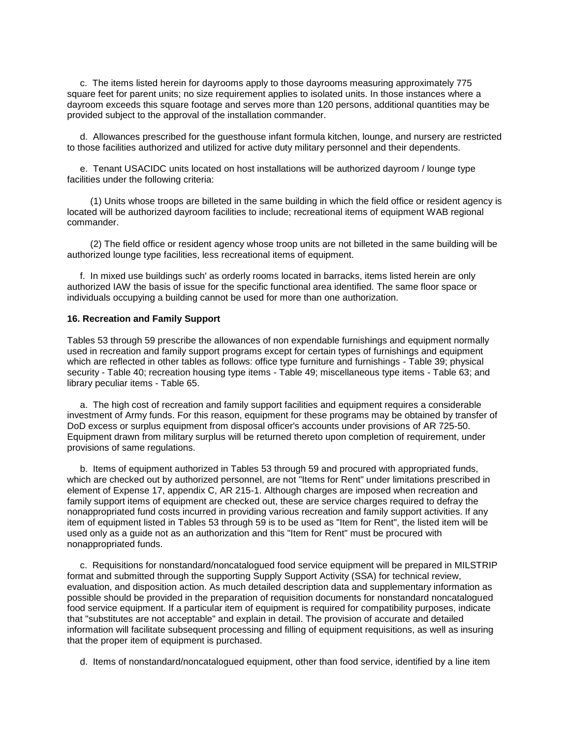c. The items listed herein for dayrooms apply to those dayrooms measuring approximately 775 square feet for parent units; no size requirement applies to isolated units. In those instances where a dayroom exceeds this square footage and serves more than 120 persons, additional quantities may be provided subject to the approval of the installation commander.

 d. Allowances prescribed for the guesthouse infant formula kitchen, lounge, and nursery are restricted to those facilities authorized and utilized for active duty military personnel and their dependents.

 e. Tenant USACIDC units located on host installations will be authorized dayroom / lounge type facilities under the following criteria:

 (1) Units whose troops are billeted in the same building in which the field office or resident agency is located will be authorized dayroom facilities to include; recreational items of equipment WAB regional commander.

 (2) The field office or resident agency whose troop units are not billeted in the same building will be authorized lounge type facilities, less recreational items of equipment.

 f. In mixed use buildings such' as orderly rooms located in barracks, items listed herein are only authorized IAW the basis of issue for the specific functional area identified. The same floor space or individuals occupying a building cannot be used for more than one authorization.

## **16. Recreation and Family Support**

Tables 53 through 59 prescribe the allowances of non expendable furnishings and equipment normally used in recreation and family support programs except for certain types of furnishings and equipment which are reflected in other tables as follows: office type furniture and furnishings - Table 39; physical security - Table 40; recreation housing type items - Table 49; miscellaneous type items - Table 63; and library peculiar items - Table 65.

 a. The high cost of recreation and family support facilities and equipment requires a considerable investment of Army funds. For this reason, equipment for these programs may be obtained by transfer of DoD excess or surplus equipment from disposal officer's accounts under provisions of AR 725-50. Equipment drawn from military surplus will be returned thereto upon completion of requirement, under provisions of same regulations.

 b. Items of equipment authorized in Tables 53 through 59 and procured with appropriated funds, which are checked out by authorized personnel, are not "Items for Rent" under limitations prescribed in element of Expense 17, appendix C, AR 215-1. Although charges are imposed when recreation and family support items of equipment are checked out, these are service charges required to defray the nonappropriated fund costs incurred in providing various recreation and family support activities. If any item of equipment listed in Tables 53 through 59 is to be used as "Item for Rent", the listed item will be used only as a guide not as an authorization and this "Item for Rent" must be procured with nonappropriated funds.

 c. Requisitions for nonstandard/noncatalogued food service equipment will be prepared in MILSTRIP format and submitted through the supporting Supply Support Activity (SSA) for technical review, evaluation, and disposition action. As much detailed description data and supplementary information as possible should be provided in the preparation of requisition documents for nonstandard noncatalogued food service equipment. If a particular item of equipment is required for compatibility purposes, indicate that "substitutes are not acceptable" and explain in detail. The provision of accurate and detailed information will facilitate subsequent processing and filling of equipment requisitions, as well as insuring that the proper item of equipment is purchased.

d. Items of nonstandard/noncatalogued equipment, other than food service, identified by a line item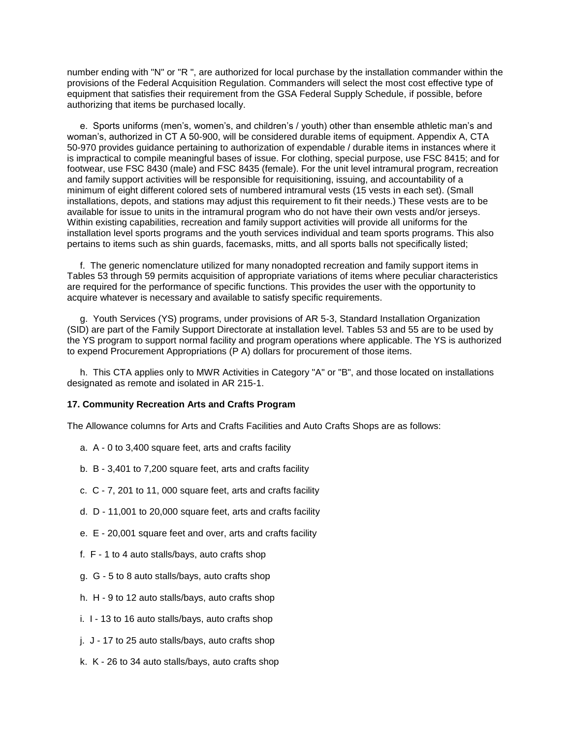number ending with "N" or "R ", are authorized for local purchase by the installation commander within the provisions of the Federal Acquisition Regulation. Commanders will select the most cost effective type of equipment that satisfies their requirement from the GSA Federal Supply Schedule, if possible, before authorizing that items be purchased locally.

 e. Sports uniforms (men's, women's, and children's / youth) other than ensemble athletic man's and woman's, authorized in CT A 50-900, will be considered durable items of equipment. Appendix A, CTA 50-970 provides guidance pertaining to authorization of expendable / durable items in instances where it is impractical to compile meaningful bases of issue. For clothing, special purpose, use FSC 8415; and for footwear, use FSC 8430 (male) and FSC 8435 (female). For the unit level intramural program, recreation and family support activities will be responsible for requisitioning, issuing, and accountability of a minimum of eight different colored sets of numbered intramural vests (15 vests in each set). (Small installations, depots, and stations may adjust this requirement to fit their needs.) These vests are to be available for issue to units in the intramural program who do not have their own vests and/or jerseys. Within existing capabilities, recreation and family support activities will provide all uniforms for the installation level sports programs and the youth services individual and team sports programs. This also pertains to items such as shin guards, facemasks, mitts, and all sports balls not specifically listed;

 f. The generic nomenclature utilized for many nonadopted recreation and family support items in Tables 53 through 59 permits acquisition of appropriate variations of items where peculiar characteristics are required for the performance of specific functions. This provides the user with the opportunity to acquire whatever is necessary and available to satisfy specific requirements.

 g. Youth Services (YS) programs, under provisions of AR 5-3, Standard Installation Organization (SID) are part of the Family Support Directorate at installation level. Tables 53 and 55 are to be used by the YS program to support normal facility and program operations where applicable. The YS is authorized to expend Procurement Appropriations (P A) dollars for procurement of those items.

 h. This CTA applies only to MWR Activities in Category "A" or "B", and those located on installations designated as remote and isolated in AR 215-1.

## **17. Community Recreation Arts and Crafts Program**

The Allowance columns for Arts and Crafts Facilities and Auto Crafts Shops are as follows:

- a. A 0 to 3,400 square feet, arts and crafts facility
- b. B 3,401 to 7,200 square feet, arts and crafts facility
- c. C 7, 201 to 11, 000 square feet, arts and crafts facility
- d. D 11,001 to 20,000 square feet, arts and crafts facility
- e. E 20,001 square feet and over, arts and crafts facility
- f. F 1 to 4 auto stalls/bays, auto crafts shop
- g. G 5 to 8 auto stalls/bays, auto crafts shop
- h. H 9 to 12 auto stalls/bays, auto crafts shop
- i. I 13 to 16 auto stalls/bays, auto crafts shop
- j. J 17 to 25 auto stalls/bays, auto crafts shop
- k. K 26 to 34 auto stalls/bays, auto crafts shop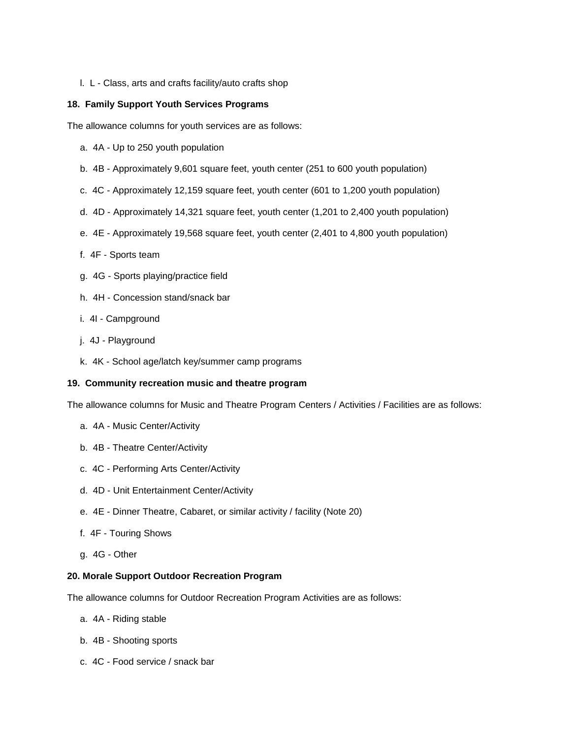l. L - Class, arts and crafts facility/auto crafts shop

# **18. Family Support Youth Services Programs**

The allowance columns for youth services are as follows:

- a. 4A Up to 250 youth population
- b. 4B Approximately 9,601 square feet, youth center (251 to 600 youth population)
- c. 4C Approximately 12,159 square feet, youth center (601 to 1,200 youth population)
- d. 4D Approximately 14,321 square feet, youth center (1,201 to 2,400 youth population)
- e. 4E Approximately 19,568 square feet, youth center (2,401 to 4,800 youth population)
- f. 4F Sports team
- g. 4G Sports playing/practice field
- h. 4H Concession stand/snack bar
- i. 4I Campground
- j. 4J Playground
- k. 4K School age/latch key/summer camp programs

## **19. Community recreation music and theatre program**

The allowance columns for Music and Theatre Program Centers / Activities / Facilities are as follows:

- a. 4A Music Center/Activity
- b. 4B Theatre Center/Activity
- c. 4C Performing Arts Center/Activity
- d. 4D Unit Entertainment Center/Activity
- e. 4E Dinner Theatre, Cabaret, or similar activity / facility (Note 20)
- f. 4F Touring Shows
- g. 4G Other

## **20. Morale Support Outdoor Recreation Program**

The allowance columns for Outdoor Recreation Program Activities are as follows:

- a. 4A Riding stable
- b. 4B Shooting sports
- c. 4C Food service / snack bar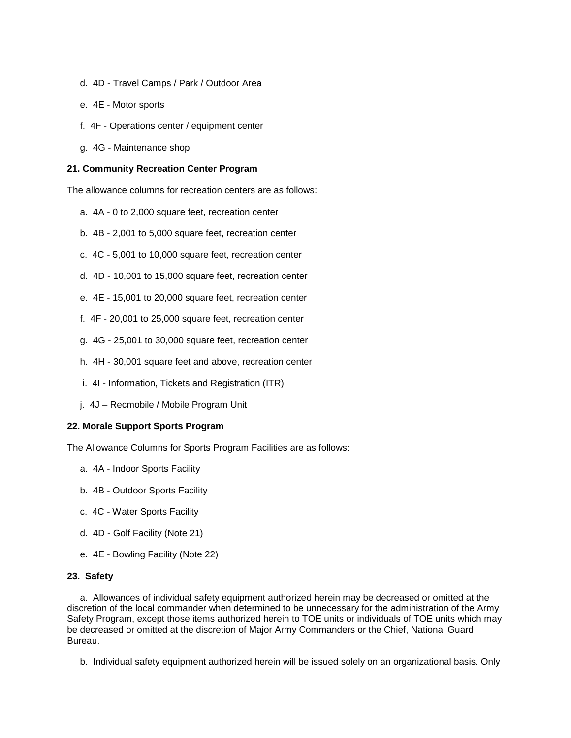- d. 4D Travel Camps / Park / Outdoor Area
- e. 4E Motor sports
- f. 4F Operations center / equipment center
- g. 4G Maintenance shop

## **21. Community Recreation Center Program**

The allowance columns for recreation centers are as follows:

- a. 4A 0 to 2,000 square feet, recreation center
- b. 4B 2,001 to 5,000 square feet, recreation center
- c. 4C 5,001 to 10,000 square feet, recreation center
- d. 4D 10,001 to 15,000 square feet, recreation center
- e. 4E 15,001 to 20,000 square feet, recreation center
- f. 4F 20,001 to 25,000 square feet, recreation center
- g. 4G 25,001 to 30,000 square feet, recreation center
- h. 4H 30,001 square feet and above, recreation center
- i. 4I Information, Tickets and Registration (ITR)
- j. 4J Recmobile / Mobile Program Unit

## **22. Morale Support Sports Program**

The Allowance Columns for Sports Program Facilities are as follows:

- a. 4A Indoor Sports Facility
- b. 4B Outdoor Sports Facility
- c. 4C Water Sports Facility
- d. 4D Golf Facility (Note 21)
- e. 4E Bowling Facility (Note 22)

## **23. Safety**

 a. Allowances of individual safety equipment authorized herein may be decreased or omitted at the discretion of the local commander when determined to be unnecessary for the administration of the Army Safety Program, except those items authorized herein to TOE units or individuals of TOE units which may be decreased or omitted at the discretion of Major Army Commanders or the Chief, National Guard Bureau.

b. Individual safety equipment authorized herein will be issued solely on an organizational basis. Only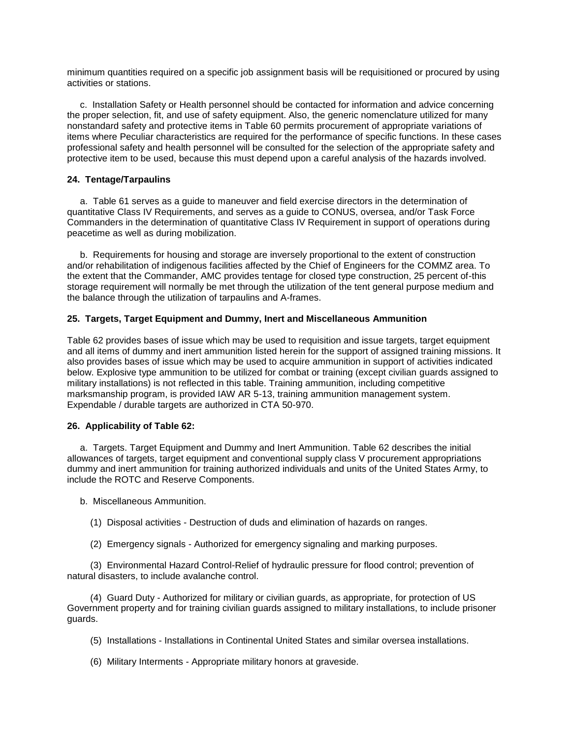minimum quantities required on a specific job assignment basis will be requisitioned or procured by using activities or stations.

 c. Installation Safety or Health personnel should be contacted for information and advice concerning the proper selection, fit, and use of safety equipment. Also, the generic nomenclature utilized for many nonstandard safety and protective items in Table 60 permits procurement of appropriate variations of items where Peculiar characteristics are required for the performance of specific functions. In these cases professional safety and health personnel will be consulted for the selection of the appropriate safety and protective item to be used, because this must depend upon a careful analysis of the hazards involved.

# **24. Tentage/Tarpaulins**

 a. Table 61 serves as a guide to maneuver and field exercise directors in the determination of quantitative Class IV Requirements, and serves as a guide to CONUS, oversea, and/or Task Force Commanders in the determination of quantitative Class IV Requirement in support of operations during peacetime as well as during mobilization.

 b. Requirements for housing and storage are inversely proportional to the extent of construction and/or rehabilitation of indigenous facilities affected by the Chief of Engineers for the COMMZ area. To the extent that the Commander, AMC provides tentage for closed type construction, 25 percent of-this storage requirement will normally be met through the utilization of the tent general purpose medium and the balance through the utilization of tarpaulins and A-frames.

# **25. Targets, Target Equipment and Dummy, Inert and Miscellaneous Ammunition**

Table 62 provides bases of issue which may be used to requisition and issue targets, target equipment and all items of dummy and inert ammunition listed herein for the support of assigned training missions. It also provides bases of issue which may be used to acquire ammunition in support of activities indicated below. Explosive type ammunition to be utilized for combat or training (except civilian guards assigned to military installations) is not reflected in this table. Training ammunition, including competitive marksmanship program, is provided IAW AR 5-13, training ammunition management system. Expendable / durable targets are authorized in CTA 50-970.

## **26. Applicability of Table 62:**

 a. Targets. Target Equipment and Dummy and Inert Ammunition. Table 62 describes the initial allowances of targets, target equipment and conventional supply class V procurement appropriations dummy and inert ammunition for training authorized individuals and units of the United States Army, to include the ROTC and Reserve Components.

b. Miscellaneous Ammunition.

- (1) Disposal activities Destruction of duds and elimination of hazards on ranges.
- (2) Emergency signals Authorized for emergency signaling and marking purposes.

 (3) Environmental Hazard Control-Relief of hydraulic pressure for flood control; prevention of natural disasters, to include avalanche control.

 (4) Guard Duty - Authorized for military or civilian guards, as appropriate, for protection of US Government property and for training civilian guards assigned to military installations, to include prisoner guards.

- (5) Installations Installations in Continental United States and similar oversea installations.
- (6) Military Interments Appropriate military honors at graveside.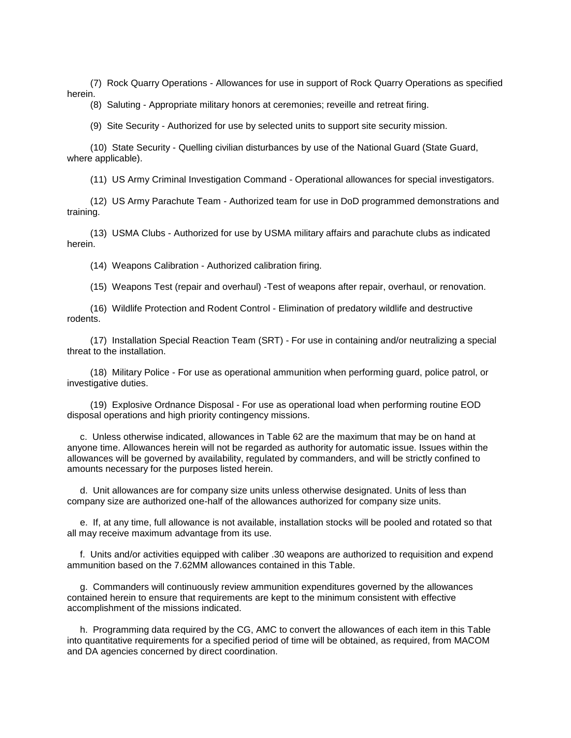(7) Rock Quarry Operations - Allowances for use in support of Rock Quarry Operations as specified herein.

(8) Saluting - Appropriate military honors at ceremonies; reveille and retreat firing.

(9) Site Security - Authorized for use by selected units to support site security mission.

 (10) State Security - Quelling civilian disturbances by use of the National Guard (State Guard, where applicable).

(11) US Army Criminal Investigation Command - Operational allowances for special investigators.

 (12) US Army Parachute Team - Authorized team for use in DoD programmed demonstrations and training.

 (13) USMA Clubs - Authorized for use by USMA military affairs and parachute clubs as indicated herein.

(14) Weapons Calibration - Authorized calibration firing.

(15) Weapons Test (repair and overhaul) -Test of weapons after repair, overhaul, or renovation.

 (16) Wildlife Protection and Rodent Control - Elimination of predatory wildlife and destructive rodents.

 (17) Installation Special Reaction Team (SRT) - For use in containing and/or neutralizing a special threat to the installation.

 (18) Military Police - For use as operational ammunition when performing guard, police patrol, or investigative duties.

 (19) Explosive Ordnance Disposal - For use as operational load when performing routine EOD disposal operations and high priority contingency missions.

 c. Unless otherwise indicated, allowances in Table 62 are the maximum that may be on hand at anyone time. Allowances herein will not be regarded as authority for automatic issue. Issues within the allowances will be governed by availability, regulated by commanders, and will be strictly confined to amounts necessary for the purposes listed herein.

 d. Unit allowances are for company size units unless otherwise designated. Units of less than company size are authorized one-half of the allowances authorized for company size units.

 e. If, at any time, full allowance is not available, installation stocks will be pooled and rotated so that all may receive maximum advantage from its use.

 f. Units and/or activities equipped with caliber .30 weapons are authorized to requisition and expend ammunition based on the 7.62MM allowances contained in this Table.

 g. Commanders will continuously review ammunition expenditures governed by the allowances contained herein to ensure that requirements are kept to the minimum consistent with effective accomplishment of the missions indicated.

 h. Programming data required by the CG, AMC to convert the allowances of each item in this Table into quantitative requirements for a specified period of time will be obtained, as required, from MACOM and DA agencies concerned by direct coordination.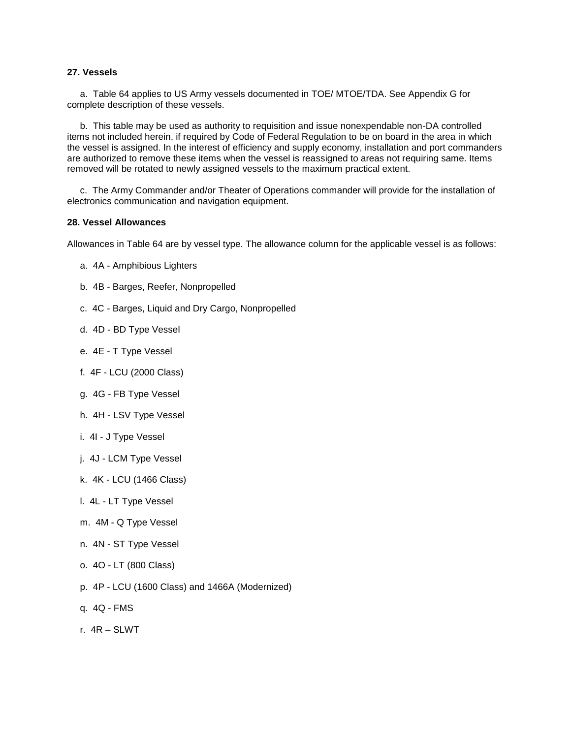## **27. Vessels**

 a. Table 64 applies to US Army vessels documented in TOE/ MTOE/TDA. See Appendix G for complete description of these vessels.

 b. This table may be used as authority to requisition and issue nonexpendable non-DA controlled items not included herein, if required by Code of Federal Regulation to be on board in the area in which the vessel is assigned. In the interest of efficiency and supply economy, installation and port commanders are authorized to remove these items when the vessel is reassigned to areas not requiring same. Items removed will be rotated to newly assigned vessels to the maximum practical extent.

 c. The Army Commander and/or Theater of Operations commander will provide for the installation of electronics communication and navigation equipment.

#### **28. Vessel Allowances**

Allowances in Table 64 are by vessel type. The allowance column for the applicable vessel is as follows:

- a. 4A Amphibious Lighters
- b. 4B Barges, Reefer, Nonpropelled
- c. 4C Barges, Liquid and Dry Cargo, Nonpropelled
- d. 4D BD Type Vessel
- e. 4E T Type Vessel
- f. 4F LCU (2000 Class)
- g. 4G FB Type Vessel
- h. 4H LSV Type Vessel
- i. 4I J Type Vessel
- j. 4J LCM Type Vessel
- k. 4K LCU (1466 Class)
- l. 4L LT Type Vessel
- m. 4M Q Type Vessel
- n. 4N ST Type Vessel
- o. 4O LT (800 Class)
- p. 4P LCU (1600 Class) and 1466A (Modernized)
- q. 4Q FMS
- r. 4R SLWT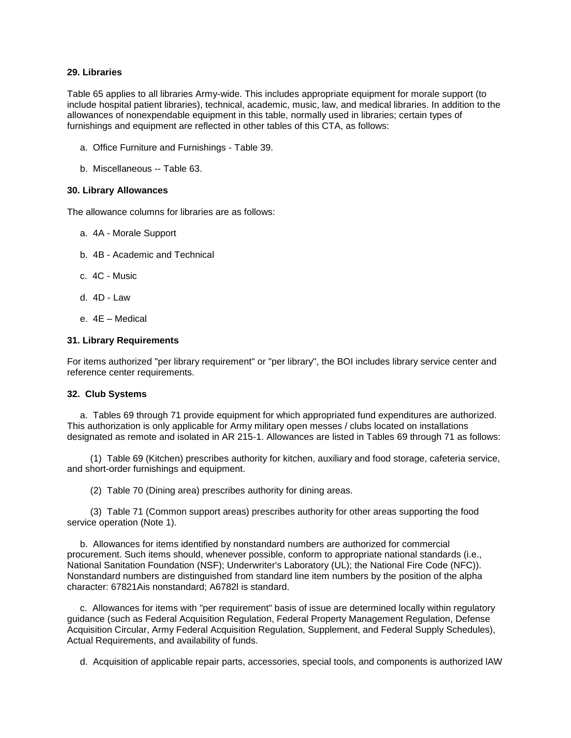## **29. Libraries**

Table 65 applies to all libraries Army-wide. This includes appropriate equipment for morale support (to include hospital patient libraries), technical, academic, music, law, and medical libraries. In addition to the allowances of nonexpendable equipment in this table, normally used in libraries; certain types of furnishings and equipment are reflected in other tables of this CTA, as follows:

- a. Office Furniture and Furnishings Table 39.
- b. Miscellaneous -- Table 63.

## **30. Library Allowances**

The allowance columns for libraries are as follows:

- a. 4A Morale Support
- b. 4B Academic and Technical
- c. 4C Music
- d. 4D Law
- e. 4E Medical

## **31. Library Requirements**

For items authorized "per library requirement" or "per library", the BOI includes library service center and reference center requirements.

## **32. Club Systems**

 a. Tables 69 through 71 provide equipment for which appropriated fund expenditures are authorized. This authorization is only applicable for Army military open messes / clubs located on installations designated as remote and isolated in AR 215-1. Allowances are listed in Tables 69 through 71 as follows:

 (1) Table 69 (Kitchen) prescribes authority for kitchen, auxiliary and food storage, cafeteria service, and short-order furnishings and equipment.

(2) Table 70 (Dining area) prescribes authority for dining areas.

 (3) Table 71 (Common support areas) prescribes authority for other areas supporting the food service operation (Note 1).

 b. Allowances for items identified by nonstandard numbers are authorized for commercial procurement. Such items should, whenever possible, conform to appropriate national standards (i.e., National Sanitation Foundation (NSF); Underwriter's Laboratory (UL); the National Fire Code (NFC)). Nonstandard numbers are distinguished from standard line item numbers by the position of the alpha character: 67821Ais nonstandard; A6782l is standard.

 c. Allowances for items with "per requirement" basis of issue are determined locally within regulatory guidance (such as Federal Acquisition Regulation, Federal Property Management Regulation, Defense Acquisition Circular, Army Federal Acquisition Regulation, Supplement, and Federal Supply Schedules), Actual Requirements, and availability of funds.

d. Acquisition of applicable repair parts, accessories, special tools, and components is authorized lAW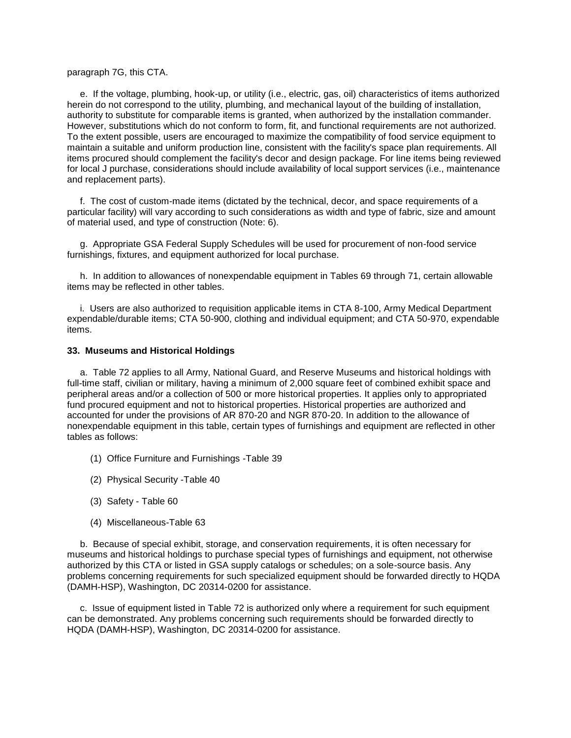## paragraph 7G, this CTA.

 e. If the voltage, plumbing, hook-up, or utility (i.e., electric, gas, oil) characteristics of items authorized herein do not correspond to the utility, plumbing, and mechanical layout of the building of installation, authority to substitute for comparable items is granted, when authorized by the installation commander. However, substitutions which do not conform to form, fit, and functional requirements are not authorized. To the extent possible, users are encouraged to maximize the compatibility of food service equipment to maintain a suitable and uniform production line, consistent with the facility's space plan requirements. All items procured should complement the facility's decor and design package. For line items being reviewed for local J purchase, considerations should include availability of local support services (i.e., maintenance and replacement parts).

 f. The cost of custom-made items (dictated by the technical, decor, and space requirements of a particular facility) will vary according to such considerations as width and type of fabric, size and amount of material used, and type of construction (Note: 6).

 g. Appropriate GSA Federal Supply Schedules will be used for procurement of non-food service furnishings, fixtures, and equipment authorized for local purchase.

 h. In addition to allowances of nonexpendable equipment in Tables 69 through 71, certain allowable items may be reflected in other tables.

 i. Users are also authorized to requisition applicable items in CTA 8-100, Army Medical Department expendable/durable items; CTA 50-900, clothing and individual equipment; and CTA 50-970, expendable items.

## **33. Museums and Historical Holdings**

 a. Table 72 applies to all Army, National Guard, and Reserve Museums and historical holdings with full-time staff, civilian or military, having a minimum of 2,000 square feet of combined exhibit space and peripheral areas and/or a collection of 500 or more historical properties. It applies only to appropriated fund procured equipment and not to historical properties. Historical properties are authorized and accounted for under the provisions of AR 870-20 and NGR 870-20. In addition to the allowance of nonexpendable equipment in this table, certain types of furnishings and equipment are reflected in other tables as follows:

- (1) Office Furniture and Furnishings -Table 39
- (2) Physical Security -Table 40
- (3) Safety Table 60
- (4) Miscellaneous-Table 63

 b. Because of special exhibit, storage, and conservation requirements, it is often necessary for museums and historical holdings to purchase special types of furnishings and equipment, not otherwise authorized by this CTA or listed in GSA supply catalogs or schedules; on a sole-source basis. Any problems concerning requirements for such specialized equipment should be forwarded directly to HQDA (DAMH-HSP), Washington, DC 20314-0200 for assistance.

 c. Issue of equipment listed in Table 72 is authorized only where a requirement for such equipment can be demonstrated. Any problems concerning such requirements should be forwarded directly to HQDA (DAMH-HSP), Washington, DC 20314-0200 for assistance.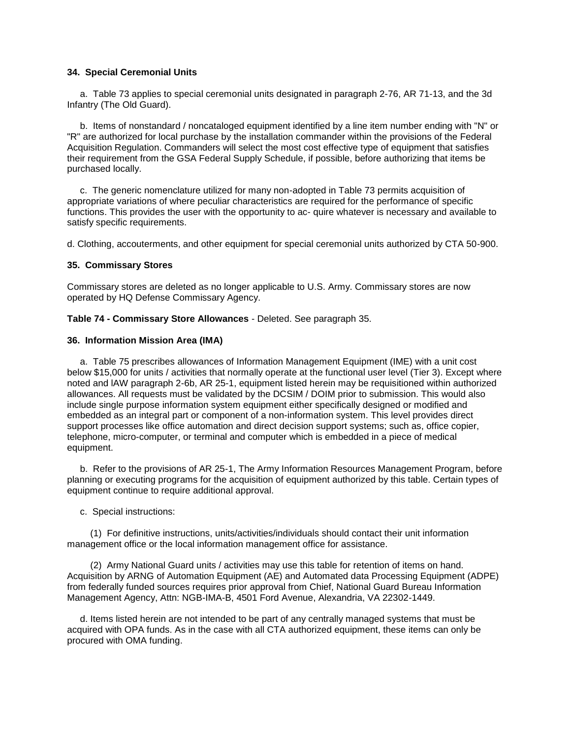## **34. Special Ceremonial Units**

 a. Table 73 applies to special ceremonial units designated in paragraph 2-76, AR 71-13, and the 3d Infantry (The Old Guard).

 b. Items of nonstandard / noncataloged equipment identified by a line item number ending with "N" or "R" are authorized for local purchase by the installation commander within the provisions of the Federal Acquisition Regulation. Commanders will select the most cost effective type of equipment that satisfies their requirement from the GSA Federal Supply Schedule, if possible, before authorizing that items be purchased locally.

 c. The generic nomenclature utilized for many non-adopted in Table 73 permits acquisition of appropriate variations of where peculiar characteristics are required for the performance of specific functions. This provides the user with the opportunity to ac- quire whatever is necessary and available to satisfy specific requirements.

d. Clothing, accouterments, and other equipment for special ceremonial units authorized by CTA 50-900.

## **35. Commissary Stores**

Commissary stores are deleted as no longer applicable to U.S. Army. Commissary stores are now operated by HQ Defense Commissary Agency.

**Table 74 - Commissary Store Allowances** - Deleted. See paragraph 35.

## **36. Information Mission Area (IMA)**

 a. Table 75 prescribes allowances of Information Management Equipment (IME) with a unit cost below \$15,000 for units / activities that normally operate at the functional user level (Tier 3). Except where noted and lAW paragraph 2-6b, AR 25-1, equipment listed herein may be requisitioned within authorized allowances. All requests must be validated by the DCSIM / DOIM prior to submission. This would also include single purpose information system equipment either specifically designed or modified and embedded as an integral part or component of a non-information system. This level provides direct support processes like office automation and direct decision support systems; such as, office copier, telephone, micro-computer, or terminal and computer which is embedded in a piece of medical equipment.

 b. Refer to the provisions of AR 25-1, The Army Information Resources Management Program, before planning or executing programs for the acquisition of equipment authorized by this table. Certain types of equipment continue to require additional approval.

c. Special instructions:

 (1) For definitive instructions, units/activities/individuals should contact their unit information management office or the local information management office for assistance.

 (2) Army National Guard units / activities may use this table for retention of items on hand. Acquisition by ARNG of Automation Equipment (AE) and Automated data Processing Equipment (ADPE) from federally funded sources requires prior approval from Chief, National Guard Bureau Information Management Agency, Attn: NGB-IMA-B, 4501 Ford Avenue, Alexandria, VA 22302-1449.

 d. Items listed herein are not intended to be part of any centrally managed systems that must be acquired with OPA funds. As in the case with all CTA authorized equipment, these items can only be procured with OMA funding.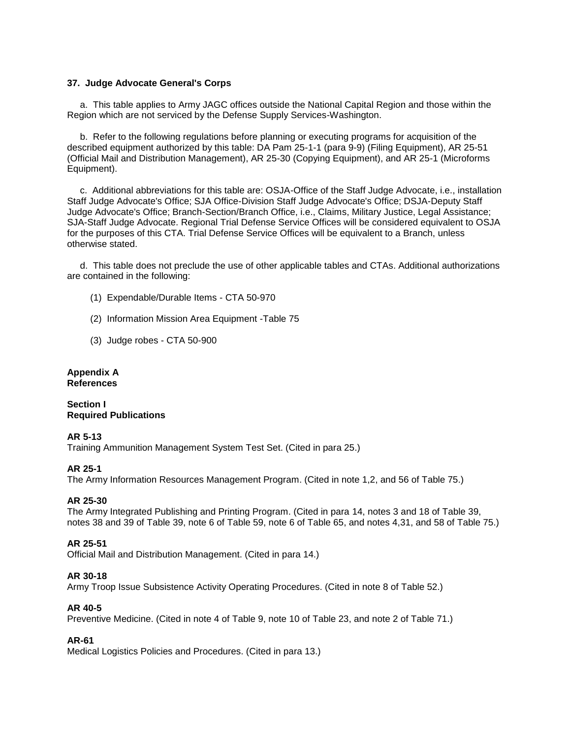## **37. Judge Advocate General's Corps**

 a. This table applies to Army JAGC offices outside the National Capital Region and those within the Region which are not serviced by the Defense Supply Services-Washington.

 b. Refer to the following regulations before planning or executing programs for acquisition of the described equipment authorized by this table: DA Pam 25-1-1 (para 9-9) (Filing Equipment), AR 25-51 (Official Mail and Distribution Management), AR 25-30 (Copying Equipment), and AR 25-1 (Microforms Equipment).

 c. Additional abbreviations for this table are: OSJA-Office of the Staff Judge Advocate, i.e., installation Staff Judge Advocate's Office; SJA Office-Division Staff Judge Advocate's Office; DSJA-Deputy Staff Judge Advocate's Office; Branch-Section/Branch Office, i.e., Claims, Military Justice, Legal Assistance; SJA-Staff Judge Advocate. Regional Trial Defense Service Offices will be considered equivalent to OSJA for the purposes of this CTA. Trial Defense Service Offices will be equivalent to a Branch, unless otherwise stated.

 d. This table does not preclude the use of other applicable tables and CTAs. Additional authorizations are contained in the following:

- (1) Expendable/Durable Items CTA 50-970
- (2) Information Mission Area Equipment -Table 75
- (3) Judge robes CTA 50-900

## **Appendix A References**

# **Section I Required Publications**

# **AR 5-13**

Training Ammunition Management System Test Set. (Cited in para 25.)

# **AR 25-1**

The Army Information Resources Management Program. (Cited in note 1,2, and 56 of Table 75.)

## **AR 25-30**

The Army Integrated Publishing and Printing Program. (Cited in para 14, notes 3 and 18 of Table 39, notes 38 and 39 of Table 39, note 6 of Table 59, note 6 of Table 65, and notes 4,31, and 58 of Table 75.)

# **AR 25-51**

Official Mail and Distribution Management. (Cited in para 14.)

## **AR 30-18**

Army Troop Issue Subsistence Activity Operating Procedures. (Cited in note 8 of Table 52.)

## **AR 40-5**

Preventive Medicine. (Cited in note 4 of Table 9, note 10 of Table 23, and note 2 of Table 71.)

# **AR-61**

Medical Logistics Policies and Procedures. (Cited in para 13.)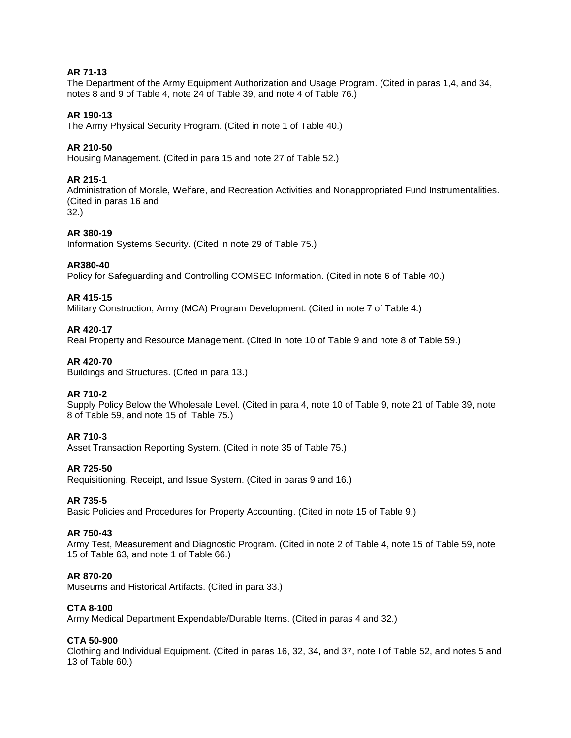# **AR 71-13**

The Department of the Army Equipment Authorization and Usage Program. (Cited in paras 1,4, and 34, notes 8 and 9 of Table 4, note 24 of Table 39, and note 4 of Table 76.)

# **AR 190-13**

The Army Physical Security Program. (Cited in note 1 of Table 40.)

## **AR 210-50**

Housing Management. (Cited in para 15 and note 27 of Table 52.)

## **AR 215-1**

Administration of Morale, Welfare, and Recreation Activities and Nonappropriated Fund Instrumentalities. (Cited in paras 16 and

32.)

# **AR 380-19**

Information Systems Security. (Cited in note 29 of Table 75.)

## **AR380-40**

Policy for Safeguarding and Controlling COMSEC Information. (Cited in note 6 of Table 40.)

## **AR 415-15**

Military Construction, Army (MCA) Program Development. (Cited in note 7 of Table 4.)

## **AR 420-17**

Real Property and Resource Management. (Cited in note 10 of Table 9 and note 8 of Table 59.)

## **AR 420-70**

Buildings and Structures. (Cited in para 13.)

## **AR 710-2**

Supply Policy Below the Wholesale Level. (Cited in para 4, note 10 of Table 9, note 21 of Table 39, note 8 of Table 59, and note 15 of Table 75.)

## **AR 710-3**

Asset Transaction Reporting System. (Cited in note 35 of Table 75.)

#### **AR 725-50**

Requisitioning, Receipt, and Issue System. (Cited in paras 9 and 16.)

## **AR 735-5**

Basic Policies and Procedures for Property Accounting. (Cited in note 15 of Table 9.)

#### **AR 750-43**

Army Test, Measurement and Diagnostic Program. (Cited in note 2 of Table 4, note 15 of Table 59, note 15 of Table 63, and note 1 of Table 66.)

## **AR 870-20**

Museums and Historical Artifacts. (Cited in para 33.)

#### **CTA 8-100**

Army Medical Department Expendable/Durable Items. (Cited in paras 4 and 32.)

#### **CTA 50-900**

Clothing and Individual Equipment. (Cited in paras 16, 32, 34, and 37, note I of Table 52, and notes 5 and 13 of Table 60.)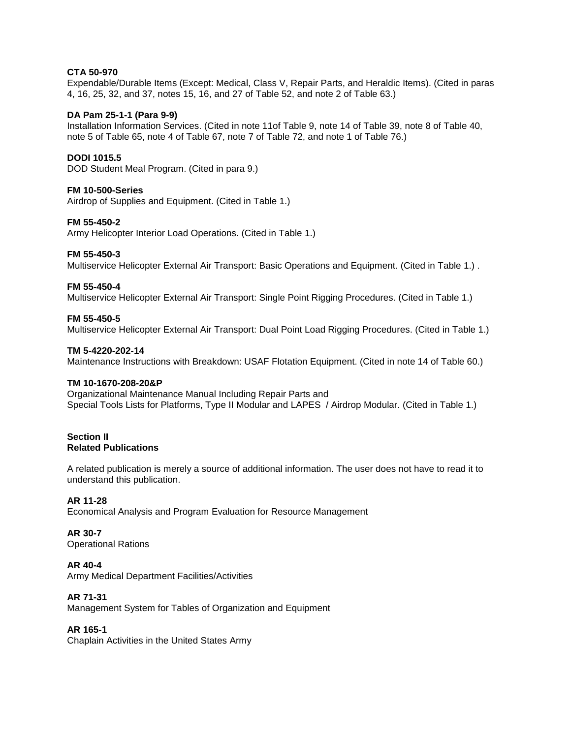# **CTA 50-970**

Expendable/Durable Items (Except: Medical, Class V, Repair Parts, and Heraldic Items). (Cited in paras 4, 16, 25, 32, and 37, notes 15, 16, and 27 of Table 52, and note 2 of Table 63.)

## **DA Pam 25-1-1 (Para 9-9)**

Installation Information Services. (Cited in note 11of Table 9, note 14 of Table 39, note 8 of Table 40, note 5 of Table 65, note 4 of Table 67, note 7 of Table 72, and note 1 of Table 76.)

## **DODI 1015.5**

DOD Student Meal Program. (Cited in para 9.)

# **FM 10-500-Series**

Airdrop of Supplies and Equipment. (Cited in Table 1.)

## **FM 55-450-2**

Army Helicopter Interior Load Operations. (Cited in Table 1.)

## **FM 55-450-3**

Multiservice Helicopter External Air Transport: Basic Operations and Equipment. (Cited in Table 1.) .

## **FM 55-450-4**

Multiservice Helicopter External Air Transport: Single Point Rigging Procedures. (Cited in Table 1.)

## **FM 55-450-5**

Multiservice Helicopter External Air Transport: Dual Point Load Rigging Procedures. (Cited in Table 1.)

## **TM 5-4220-202-14**

Maintenance Instructions with Breakdown: USAF Flotation Equipment. (Cited in note 14 of Table 60.)

## **TM 10-1670-208-20&P**

Organizational Maintenance Manual Including Repair Parts and Special Tools Lists for Platforms, Type II Modular and LAPES / Airdrop Modular. (Cited in Table 1.)

#### **Section II Related Publications**

A related publication is merely a source of additional information. The user does not have to read it to understand this publication.

## **AR 11-28**

Economical Analysis and Program Evaluation for Resource Management

## **AR 30-7**

Operational Rations

## **AR 40-4**

Army Medical Department Facilities/Activities

## **AR 71-31**

Management System for Tables of Organization and Equipment

## **AR 165-1**

Chaplain Activities in the United States Army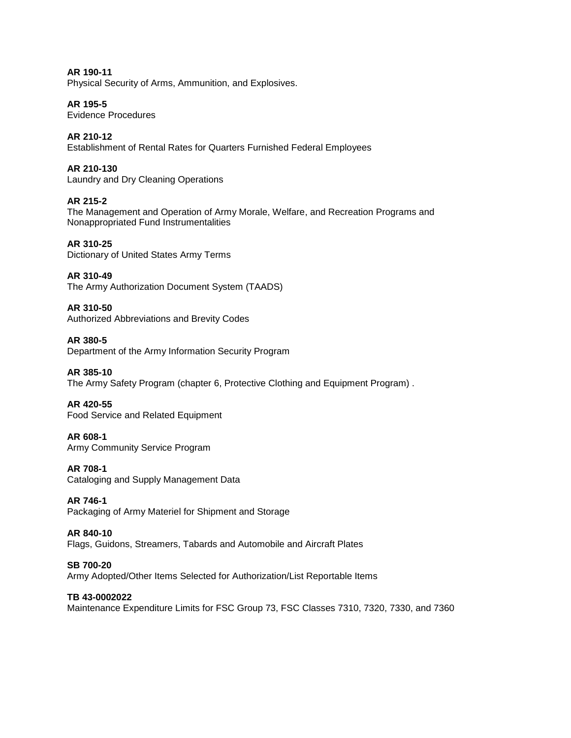**AR 190-11**  Physical Security of Arms, Ammunition, and Explosives.

**AR 195-5**  Evidence Procedures

**AR 210-12**  Establishment of Rental Rates for Quarters Furnished Federal Employees

**AR 210-130**  Laundry and Dry Cleaning Operations

**AR 215-2**  The Management and Operation of Army Morale, Welfare, and Recreation Programs and Nonappropriated Fund Instrumentalities

**AR 310-25**  Dictionary of United States Army Terms

**AR 310-49**  The Army Authorization Document System (TAADS)

**AR 310-50**  Authorized Abbreviations and Brevity Codes

**AR 380-5**  Department of the Army Information Security Program

**AR 385-10** The Army Safety Program (chapter 6, Protective Clothing and Equipment Program) .

**AR 420-55** Food Service and Related Equipment

**AR 608-1**  Army Community Service Program

**AR 708-1**  Cataloging and Supply Management Data

**AR 746-1**  Packaging of Army Materiel for Shipment and Storage

**AR 840-10**  Flags, Guidons, Streamers, Tabards and Automobile and Aircraft Plates

**SB 700-20**  Army Adopted/Other Items Selected for Authorization/List Reportable Items

**TB 43-0002022**  Maintenance Expenditure Limits for FSC Group 73, FSC Classes 7310, 7320, 7330, and 7360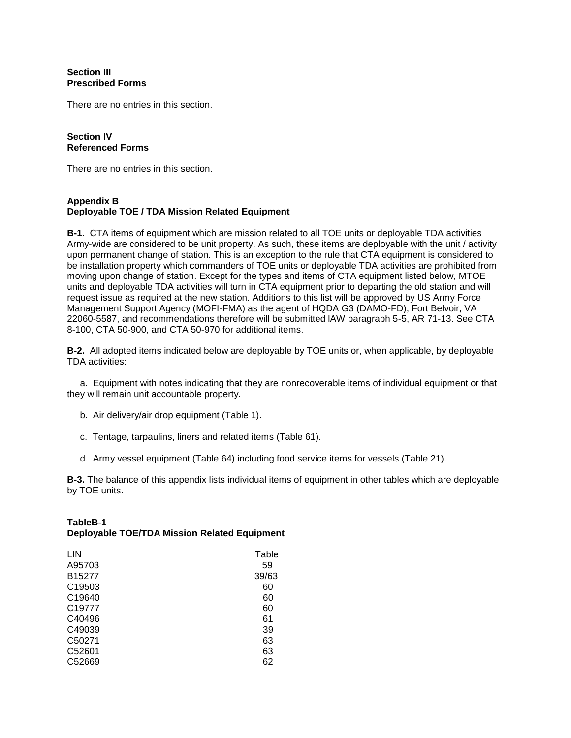# **Section III Prescribed Forms**

There are no entries in this section.

## **Section IV Referenced Forms**

There are no entries in this section.

# **Appendix B Deployable TOE / TDA Mission Related Equipment**

**B-1.** CTA items of equipment which are mission related to all TOE units or deployable TDA activities Army-wide are considered to be unit property. As such, these items are deployable with the unit / activity upon permanent change of station. This is an exception to the rule that CTA equipment is considered to be installation property which commanders of TOE units or deployable TDA activities are prohibited from moving upon change of station. Except for the types and items of CTA equipment listed below, MTOE units and deployable TDA activities will turn in CTA equipment prior to departing the old station and will request issue as required at the new station. Additions to this list will be approved by US Army Force Management Support Agency (MOFI-FMA) as the agent of HQDA G3 (DAMO-FD), Fort Belvoir, VA 22060-5587, and recommendations therefore will be submitted lAW paragraph 5-5, AR 71-13. See CTA 8-100, CTA 50-900, and CTA 50-970 for additional items.

**B-2.** All adopted items indicated below are deployable by TOE units or, when applicable, by deployable TDA activities:

 a. Equipment with notes indicating that they are nonrecoverable items of individual equipment or that they will remain unit accountable property.

- b. Air delivery/air drop equipment (Table 1).
- c. Tentage, tarpaulins, liners and related items (Table 61).
- d. Army vessel equipment (Table 64) including food service items for vessels (Table 21).

**B-3.** The balance of this appendix lists individual items of equipment in other tables which are deployable by TOE units.

| LIN                | Table |
|--------------------|-------|
| A95703             | 59    |
| B15277             | 39/63 |
| C19503             | 60    |
| C <sub>19640</sub> | 60    |
| C <sub>19777</sub> | 60    |
| C40496             | 61    |
| C49039             | 39    |
| C50271             | 63    |
| C52601             | 63    |
| C52669             | 62    |

# **TableB-1 Deployable TOE/TDA Mission Related Equipment**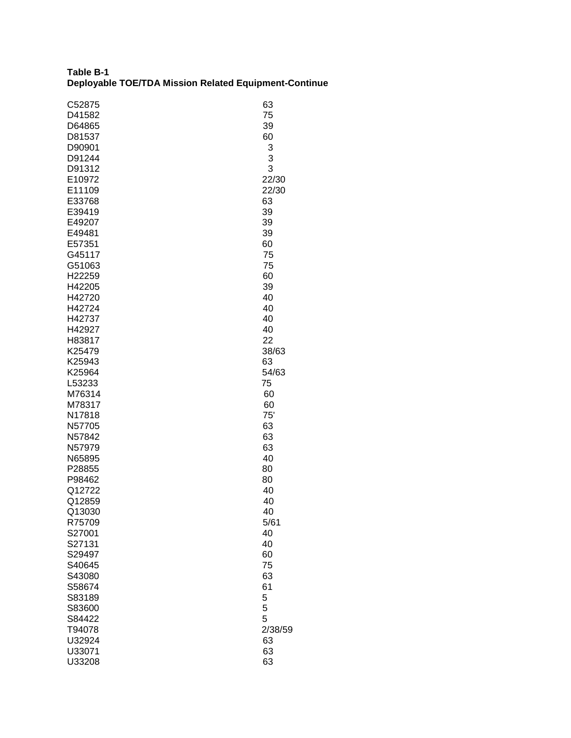| Table B-1 |                                                       |
|-----------|-------------------------------------------------------|
|           | Deployable TOE/TDA Mission Related Equipment-Continue |

| C52875 | 63      |
|--------|---------|
| D41582 | 75      |
| D64865 | 39      |
| D81537 | 60      |
| D90901 | 3       |
| D91244 | 3       |
| D91312 | 3       |
| E10972 | 22/30   |
| E11109 | 22/30   |
| E33768 | 63      |
| E39419 | 39      |
| E49207 | 39      |
| E49481 | 39      |
| E57351 | 60      |
| G45117 | 75      |
| G51063 | 75      |
| H22259 | 60      |
| H42205 | 39      |
| H42720 | 40      |
| H42724 | 40      |
| H42737 | 40      |
| H42927 | 40      |
| H83817 | 22      |
| K25479 | 38/63   |
| K25943 | 63      |
| K25964 | 54/63   |
| L53233 | 75      |
| M76314 | 60      |
| M78317 | 60      |
| N17818 | 75'     |
| N57705 | 63      |
| N57842 | 63      |
| N57979 | 63      |
| N65895 | 40      |
| P28855 | 80      |
| P98462 | 80      |
| Q12722 | 40      |
| Q12859 | 40      |
| Q13030 | 40      |
| R75709 | 5/61    |
| S27001 | 40      |
| S27131 | 40      |
| S29497 | 60      |
| S40645 | 75      |
| S43080 | 63      |
| S58674 | 61      |
| S83189 | 5       |
| S83600 | 5       |
| S84422 | 5       |
| T94078 | 2/38/59 |
| U32924 | 63      |
| U33071 | 63      |
| U33208 | 63      |
|        |         |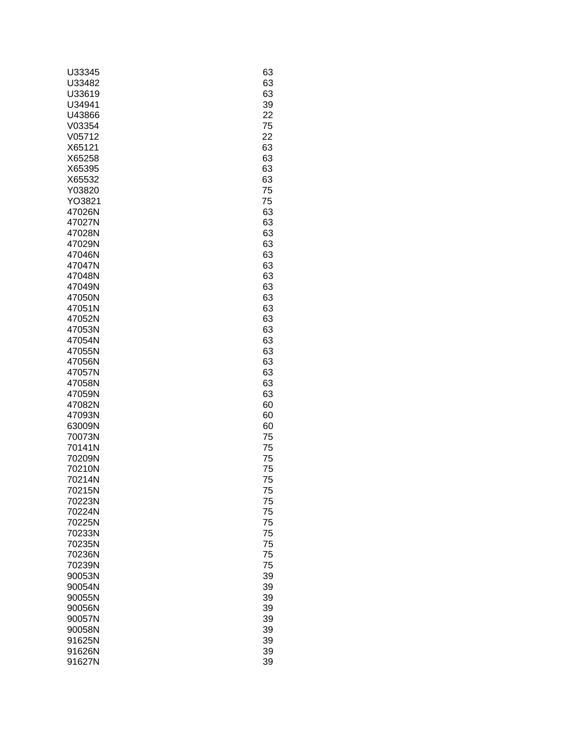| U33345 | 63 |
|--------|----|
| U33482 | 63 |
| U33619 | 63 |
| U34941 | 39 |
| U43866 | 22 |
| V03354 | 75 |
| V05712 | 22 |
| X65121 | 63 |
| X65258 | 63 |
| X65395 | 63 |
| X65532 | 63 |
| Y03820 | 75 |
| YO3821 | 75 |
| 47026N | 63 |
| 47027N | 63 |
| 47028N | 63 |
| 47029N | 63 |
| 47046N | 63 |
| 47047N | 63 |
| 47048N | 63 |
| 47049N | 63 |
| 47050N | 63 |
| 47051N | 63 |
| 47052N | 63 |
| 47053N | 63 |
| 47054N | 63 |
| 47055N | 63 |
| 47056N | 63 |
| 47057N | 63 |
| 47058N | 63 |
| 47059N | 63 |
| 47082N | 60 |
| 47093N | 60 |
| 63009N | 60 |
| 70073N | 75 |
| 70141N | 75 |
| 70209N | 75 |
| 70210N | 75 |
| 70214N | 75 |
| 70215N | 75 |
| 70223N | 75 |
| 70224N | 75 |
| 70225N | 75 |
| 70233N | 75 |
| 70235N | 75 |
| 70236N | 75 |
| 70239N | 75 |
| 90053N | 39 |
| 90054N | 39 |
| 90055N | 39 |
| 90056N | 39 |
| 90057N | 39 |
| 90058N | 39 |
| 91625N | 39 |
| 91626N | 39 |
| 91627N | 39 |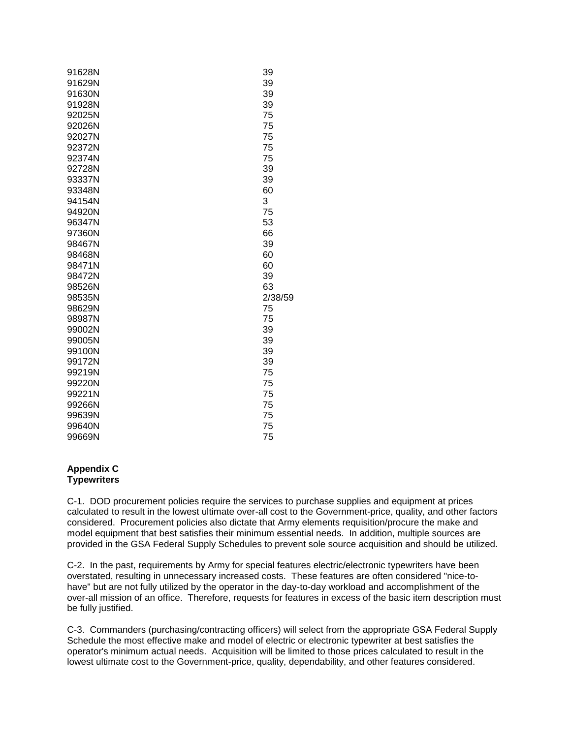| 91628N | 39      |
|--------|---------|
| 91629N | 39      |
| 91630N | 39      |
| 91928N | 39      |
| 92025N | 75      |
| 92026N | 75      |
| 92027N | 75      |
| 92372N | 75      |
| 92374N | 75      |
| 92728N | 39      |
| 93337N | 39      |
| 93348N | 60      |
| 94154N | 3       |
| 94920N | 75      |
| 96347N | 53      |
| 97360N | 66      |
| 98467N | 39      |
| 98468N | 60      |
| 98471N | 60      |
| 98472N | 39      |
| 98526N | 63      |
| 98535N | 2/38/59 |
| 98629N | 75      |
| 98987N | 75      |
| 99002N | 39      |
| 99005N | 39      |
| 99100N | 39      |
| 99172N | 39      |
| 99219N | 75      |
| 99220N | 75      |
| 99221N | 75      |
| 99266N | 75      |
| 99639N | 75      |
| 99640N | 75      |
| 99669N | 75      |

## **Appendix C Typewriters**

C-1. DOD procurement policies require the services to purchase supplies and equipment at prices calculated to result in the lowest ultimate over-all cost to the Government-price, quality, and other factors considered. Procurement policies also dictate that Army elements requisition/procure the make and model equipment that best satisfies their minimum essential needs. In addition, multiple sources are provided in the GSA Federal Supply Schedules to prevent sole source acquisition and should be utilized.

C-2. In the past, requirements by Army for special features electric/electronic typewriters have been overstated, resulting in unnecessary increased costs. These features are often considered "nice-tohave" but are not fully utilized by the operator in the day-to-day workload and accomplishment of the over-all mission of an office. Therefore, requests for features in excess of the basic item description must be fully justified.

C-3. Commanders (purchasing/contracting officers) will select from the appropriate GSA Federal Supply Schedule the most effective make and model of electric or electronic typewriter at best satisfies the operator's minimum actual needs. Acquisition will be limited to those prices calculated to result in the lowest ultimate cost to the Government-price, quality, dependability, and other features considered.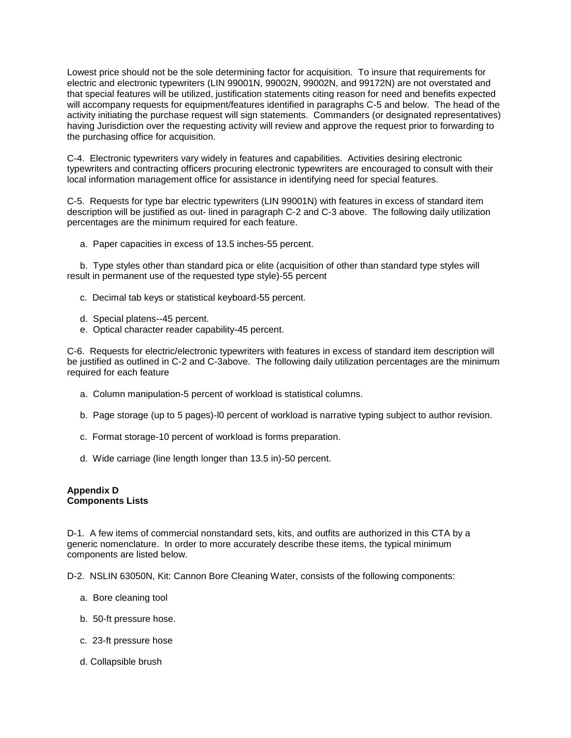Lowest price should not be the sole determining factor for acquisition. To insure that requirements for electric and electronic typewriters (LIN 99001N, 99002N, 99002N, and 99172N) are not overstated and that special features will be utilized, justification statements citing reason for need and benefits expected will accompany requests for equipment/features identified in paragraphs C-5 and below. The head of the activity initiating the purchase request will sign statements. Commanders (or designated representatives) having Jurisdiction over the requesting activity will review and approve the request prior to forwarding to the purchasing office for acquisition.

C-4. Electronic typewriters vary widely in features and capabilities. Activities desiring electronic typewriters and contracting officers procuring electronic typewriters are encouraged to consult with their local information management office for assistance in identifying need for special features.

C-5. Requests for type bar electric typewriters (LIN 99001N) with features in excess of standard item description will be justified as out- lined in paragraph C-2 and C-3 above. The following daily utilization percentages are the minimum required for each feature.

a. Paper capacities in excess of 13.5 inches-55 percent.

 b. Type styles other than standard pica or elite (acquisition of other than standard type styles will result in permanent use of the requested type style)-55 percent

- c. Decimal tab keys or statistical keyboard-55 percent.
- d. Special platens--45 percent.
- e. Optical character reader capability-45 percent.

C-6. Requests for electric/electronic typewriters with features in excess of standard item description will be justified as outlined in C-2 and C-3above. The following daily utilization percentages are the minimum required for each feature

- a. Column manipulation-5 percent of workload is statistical columns.
- b. Page storage (up to 5 pages)-l0 percent of workload is narrative typing subject to author revision.
- c. Format storage-10 percent of workload is forms preparation.
- d. Wide carriage (line length longer than 13.5 in)-50 percent.

## **Appendix D Components Lists**

D-1. A few items of commercial nonstandard sets, kits, and outfits are authorized in this CTA by a generic nomenclature. In order to more accurately describe these items, the typical minimum components are listed below.

D-2. NSLIN 63050N, Kit: Cannon Bore Cleaning Water, consists of the following components:

- a. Bore cleaning tool
- b. 50-ft pressure hose.
- c. 23-ft pressure hose
- d. Collapsible brush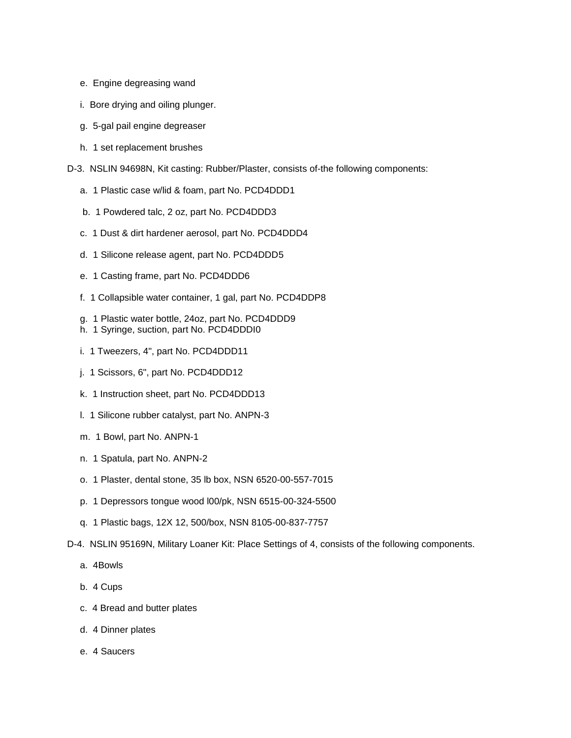- e. Engine degreasing wand
- i. Bore drying and oiling plunger.
- g. 5-gal pail engine degreaser
- h. 1 set replacement brushes
- D-3. NSLIN 94698N, Kit casting: Rubber/Plaster, consists of-the following components:
	- a. 1 Plastic case w/lid & foam, part No. PCD4DDD1
	- b. 1 Powdered talc, 2 oz, part No. PCD4DDD3
	- c. 1 Dust & dirt hardener aerosol, part No. PCD4DDD4
	- d. 1 Silicone release agent, part No. PCD4DDD5
	- e. 1 Casting frame, part No. PCD4DDD6
	- f. 1 Collapsible water container, 1 gal, part No. PCD4DDP8
	- g. 1 Plastic water bottle, 24oz, part No. PCD4DDD9
	- h. 1 Syringe, suction, part No. PCD4DDDI0
	- i. 1 Tweezers, 4", part No. PCD4DDD11
	- j. 1 Scissors, 6", part No. PCD4DDD12
	- k. 1 Instruction sheet, part No. PCD4DDD13
	- l. 1 Silicone rubber catalyst, part No. ANPN-3
	- m. 1 Bowl, part No. ANPN-1
	- n. 1 Spatula, part No. ANPN-2
	- o. 1 Plaster, dental stone, 35 lb box, NSN 6520-00-557-7015
	- p. 1 Depressors tongue wood l00/pk, NSN 6515-00-324-5500
	- q. 1 Plastic bags, 12X 12, 500/box, NSN 8105-00-837-7757
- D-4. NSLIN 95169N, Military Loaner Kit: Place Settings of 4, consists of the following components.
	- a. 4Bowls
	- b. 4 Cups
	- c. 4 Bread and butter plates
	- d. 4 Dinner plates
	- e. 4 Saucers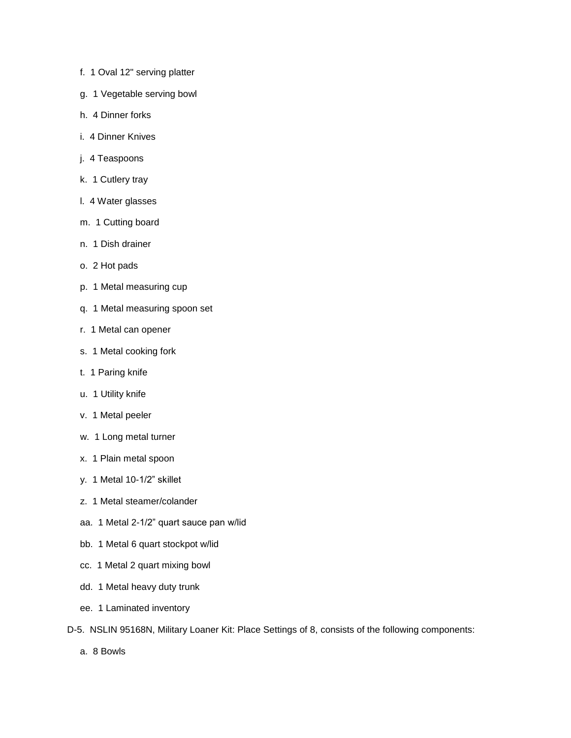- f. 1 Oval 12" serving platter
- g. 1 Vegetable serving bowl
- h. 4 Dinner forks
- i. 4 Dinner Knives
- j. 4 Teaspoons
- k. 1 Cutlery tray
- l. 4 Water glasses
- m. 1 Cutting board
- n. 1 Dish drainer
- o. 2 Hot pads
- p. 1 Metal measuring cup
- q. 1 Metal measuring spoon set
- r. 1 Metal can opener
- s. 1 Metal cooking fork
- t. 1 Paring knife
- u. 1 Utility knife
- v. 1 Metal peeler
- w. 1 Long metal turner
- x. 1 Plain metal spoon
- y. 1 Metal 10-1/2" skillet
- z. 1 Metal steamer/colander
- aa. 1 Metal 2-1/2" quart sauce pan w/lid
- bb. 1 Metal 6 quart stockpot w/lid
- cc. 1 Metal 2 quart mixing bowl
- dd. 1 Metal heavy duty trunk
- ee. 1 Laminated inventory
- D-5. NSLIN 95168N, Military Loaner Kit: Place Settings of 8, consists of the following components:
	- a. 8 Bowls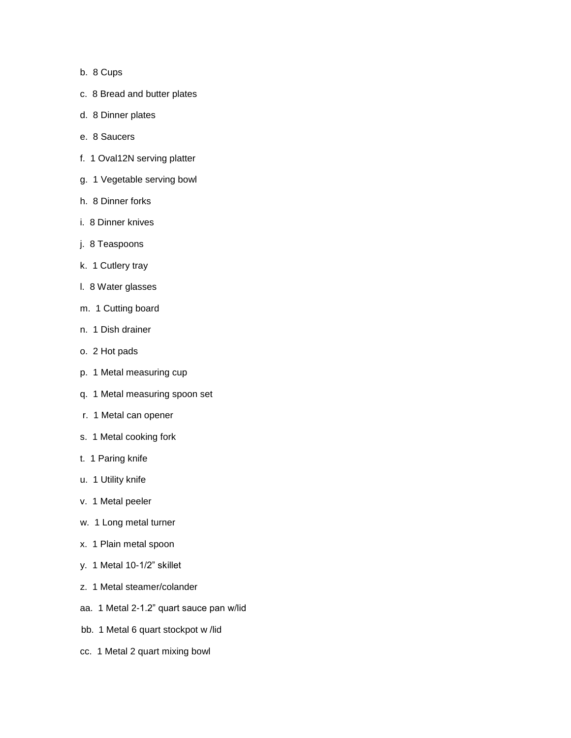- b. 8 Cups
- c. 8 Bread and butter plates
- d. 8 Dinner plates
- e. 8 Saucers
- f. 1 Oval12N serving platter
- g. 1 Vegetable serving bowl
- h. 8 Dinner forks
- i. 8 Dinner knives
- j. 8 Teaspoons
- k. 1 Cutlery tray
- l. 8 Water glasses
- m. 1 Cutting board
- n. 1 Dish drainer
- o. 2 Hot pads
- p. 1 Metal measuring cup
- q. 1 Metal measuring spoon set
- r. 1 Metal can opener
- s. 1 Metal cooking fork
- t. 1 Paring knife
- u. 1 Utility knife
- v. 1 Metal peeler
- w. 1 Long metal turner
- x. 1 Plain metal spoon
- y. 1 Metal 10-1/2" skillet
- z. 1 Metal steamer/colander
- aa. 1 Metal 2-1.2" quart sauce pan w/lid
- bb. 1 Metal 6 quart stockpot w /lid
- cc. 1 Metal 2 quart mixing bowl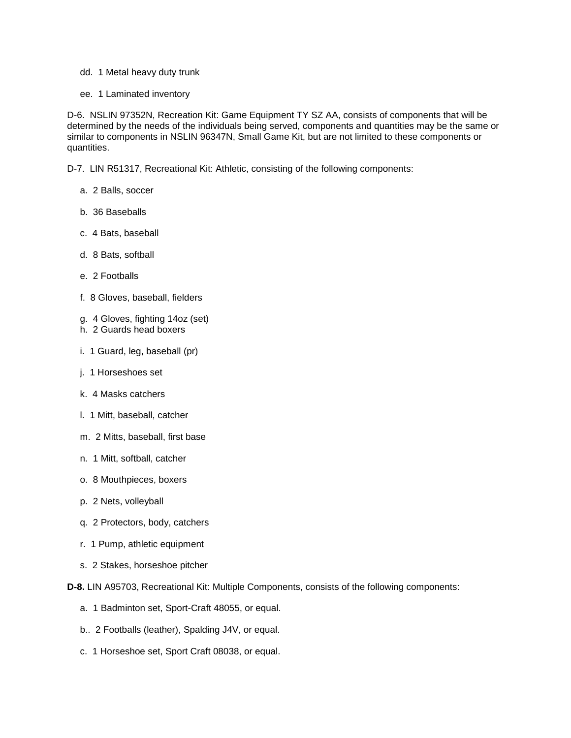- dd. 1 Metal heavy duty trunk
- ee. 1 Laminated inventory

D-6. NSLIN 97352N, Recreation Kit: Game Equipment TY SZ AA, consists of components that will be determined by the needs of the individuals being served, components and quantities may be the same or similar to components in NSLIN 96347N, Small Game Kit, but are not limited to these components or quantities.

D-7. LIN R51317, Recreational Kit: Athletic, consisting of the following components:

- a. 2 Balls, soccer
- b. 36 Baseballs
- c. 4 Bats, baseball
- d. 8 Bats, softball
- e. 2 Footballs
- f. 8 Gloves, baseball, fielders
- g. 4 Gloves, fighting 14oz (set)
- h. 2 Guards head boxers
- i. 1 Guard, leg, baseball (pr)
- j. 1 Horseshoes set
- k. 4 Masks catchers
- l. 1 Mitt, baseball, catcher
- m. 2 Mitts, baseball, first base
- n. 1 Mitt, softball, catcher
- o. 8 Mouthpieces, boxers
- p. 2 Nets, volleyball
- q. 2 Protectors, body, catchers
- r. 1 Pump, athletic equipment
- s. 2 Stakes, horseshoe pitcher
- **D-8.** LIN A95703, Recreational Kit: Multiple Components, consists of the following components:
	- a. 1 Badminton set, Sport-Craft 48055, or equal.
	- b.. 2 Footballs (leather), Spalding J4V, or equal.
	- c. 1 Horseshoe set, Sport Craft 08038, or equal.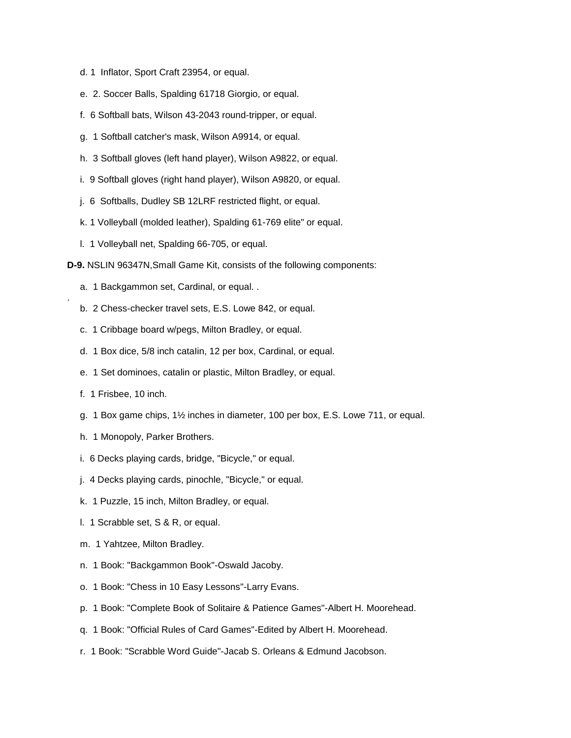- d. 1 Inflator, Sport Craft 23954, or equal.
- e. 2. Soccer Balls, Spalding 61718 Giorgio, or equal.
- f. 6 Softball bats, Wilson 43-2043 round-tripper, or equal.
- g. 1 Softball catcher's mask, Wilson A9914, or equal.
- h. 3 Softball gloves (left hand player), Wilson A9822, or equal.
- i. 9 Softball gloves (right hand player), Wilson A9820, or equal.
- j. 6 Softballs, Dudley SB 12LRF restricted flight, or equal.
- k. 1 Volleyball (molded leather), Spalding 61-769 elite" or equal.
- l. 1 Volleyball net, Spalding 66-705, or equal.
- **D-9.** NSLIN 96347N,Small Game Kit, consists of the following components:
	- a. 1 Backgammon set, Cardinal, or equal. .
	- b. 2 Chess-checker travel sets, E.S. Lowe 842, or equal.
	- c. 1 Cribbage board w/pegs, Milton Bradley, or equal.
	- d. 1 Box dice, 5/8 inch cataIin, 12 per box, Cardinal, or equal.
	- e. 1 Set dominoes, catalin or plastic, Milton Bradley, or equal.
	- f. 1 Frisbee, 10 inch.

.

- g. 1 Box game chips, 1½ inches in diameter, 100 per box, E.S. Lowe 711, or equal.
- h. 1 Monopoly, Parker Brothers.
- i. 6 Decks playing cards, bridge, "Bicycle," or equal.
- j. 4 Decks playing cards, pinochle, "Bicycle," or equal.
- k. 1 Puzzle, 15 inch, Milton Bradley, or equal.
- l. 1 Scrabble set, S & R, or equal.
- m. 1 Yahtzee, Milton Bradley.
- n. 1 Book: "Backgammon Book"-Oswald Jacoby.
- o. 1 Book: "Chess in 10 Easy Lessons"-Larry Evans.
- p. 1 Book: "Complete Book of Solitaire & Patience Games"-Albert H. Moorehead.
- q. 1 Book: "Official Rules of Card Games"-Edited by Albert H. Moorehead.
- r. 1 Book: "Scrabble Word Guide"-Jacab S. Orleans & Edmund Jacobson.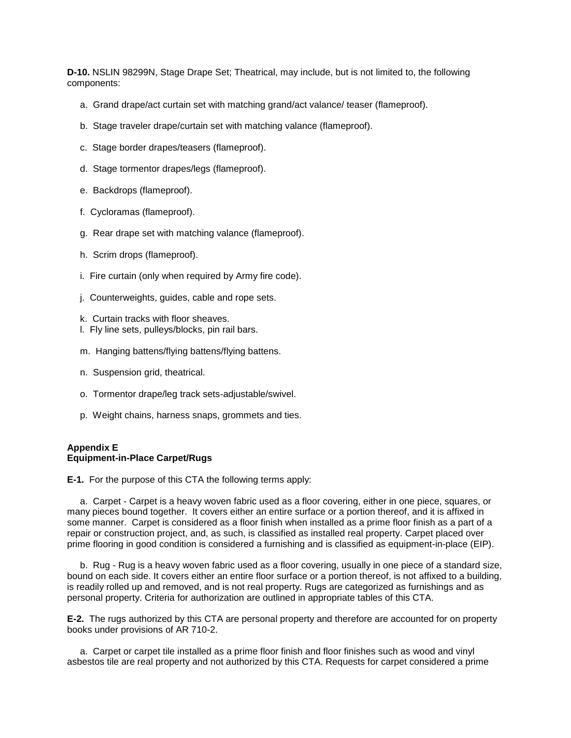**D-10.** NSLIN 98299N, Stage Drape Set; Theatrical, may include, but is not limited to, the following components:

- a. Grand drape/act curtain set with matching grand/act valance/ teaser (flameproof).
- b. Stage traveler drape/curtain set with matching valance (flameproof).
- c. Stage border drapes/teasers (flameproof).
- d. Stage tormentor drapes/legs (flameproof).
- e. Backdrops (flameproof).
- f. Cycloramas (flameproof).
- g. Rear drape set with matching valance (flameproof).
- h. Scrim drops (flameproof).
- i. Fire curtain (only when required by Army fire code).
- j. Counterweights, guides, cable and rope sets.
- k. Curtain tracks with floor sheaves.
- l. Fly line sets, pulleys/blocks, pin rail bars.
- m. Hanging battens/flying battens/flying battens.
- n. Suspension grid, theatrical.
- o. Tormentor drape/leg track sets-adjustable/swivel.
- p. Weight chains, harness snaps, grommets and ties.

## **Appendix E Equipment-in-Place Carpet/Rugs**

**E-1.** For the purpose of this CTA the following terms apply:

 a. Carpet - Carpet is a heavy woven fabric used as a floor covering, either in one piece, squares, or many pieces bound together. It covers either an entire surface or a portion thereof, and it is affixed in some manner. Carpet is considered as a floor finish when installed as a prime floor finish as a part of a repair or construction project, and, as such, is classified as installed real property. Carpet placed over prime flooring in good condition is considered a furnishing and is classified as equipment-in-place (EIP).

 b. Rug - Rug is a heavy woven fabric used as a floor covering, usually in one piece of a standard size, bound on each side. It covers either an entire floor surface or a portion thereof, is not affixed to a building, is readily rolled up and removed, and is not real property. Rugs are categorized as furnishings and as personal property. Criteria for authorization are outlined in appropriate tables of this CTA.

**E-2.** The rugs authorized by this CTA are personal property and therefore are accounted for on property books under provisions of AR 710-2.

 a. Carpet or carpet tile installed as a prime floor finish and floor finishes such as wood and vinyl asbestos tile are real property and not authorized by this CTA. Requests for carpet considered a prime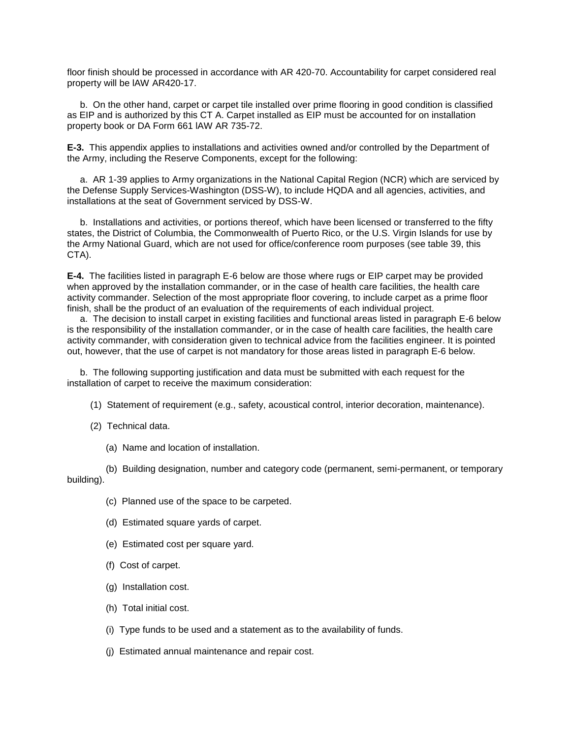floor finish should be processed in accordance with AR 420-70. Accountability for carpet considered real property will be lAW AR420-17.

 b. On the other hand, carpet or carpet tile installed over prime flooring in good condition is classified as EIP and is authorized by this CT A. Carpet installed as EIP must be accounted for on installation property book or DA Form 661 lAW AR 735-72.

**E-3.** This appendix applies to installations and activities owned and/or controlled by the Department of the Army, including the Reserve Components, except for the following:

 a. AR 1-39 applies to Army organizations in the National Capital Region (NCR) which are serviced by the Defense Supply Services-Washington (DSS-W), to include HQDA and all agencies, activities, and installations at the seat of Government serviced by DSS-W.

 b. Installations and activities, or portions thereof, which have been licensed or transferred to the fifty states, the District of Columbia, the Commonwealth of Puerto Rico, or the U.S. Virgin Islands for use by the Army National Guard, which are not used for office/conference room purposes (see table 39, this CTA).

**E-4.** The facilities listed in paragraph E-6 below are those where rugs or EIP carpet may be provided when approved by the installation commander, or in the case of health care facilities, the health care activity commander. Selection of the most appropriate floor covering, to include carpet as a prime floor finish, shall be the product of an evaluation of the requirements of each individual project.

 a. The decision to install carpet in existing facilities and functional areas listed in paragraph E-6 below is the responsibility of the installation commander, or in the case of health care facilities, the health care activity commander, with consideration given to technical advice from the facilities engineer. It is pointed out, however, that the use of carpet is not mandatory for those areas listed in paragraph E-6 below.

 b. The following supporting justification and data must be submitted with each request for the installation of carpet to receive the maximum consideration:

- (1) Statement of requirement (e.g., safety, acoustical control, interior decoration, maintenance).
- (2) Technical data.
	- (a) Name and location of installation.

 (b) Building designation, number and category code (permanent, semi-permanent, or temporary building).

- (c) Planned use of the space to be carpeted.
- (d) Estimated square yards of carpet.
- (e) Estimated cost per square yard.
- (f) Cost of carpet.
- (g) Installation cost.
- (h) Total initial cost.
- (i) Type funds to be used and a statement as to the availability of funds.
- (j) Estimated annual maintenance and repair cost.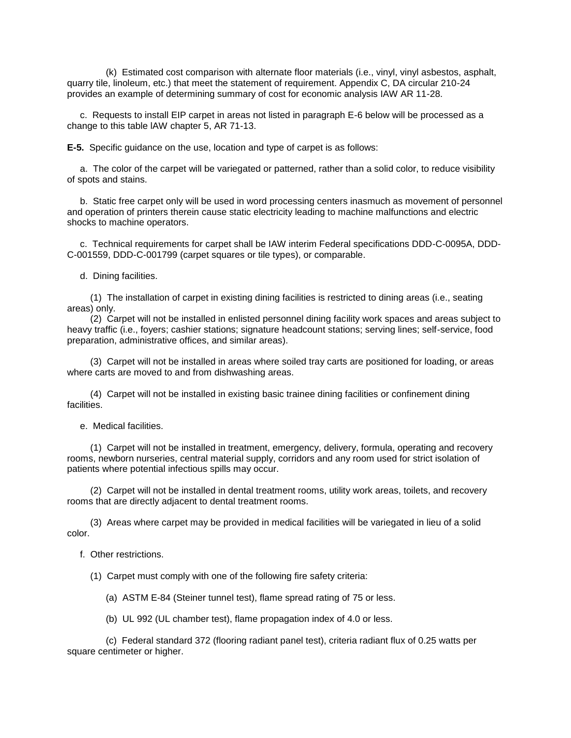(k) Estimated cost comparison with alternate floor materials (i.e., vinyl, vinyl asbestos, asphalt, quarry tile, linoleum, etc.) that meet the statement of requirement. Appendix C, DA circular 210-24 provides an example of determining summary of cost for economic analysis IAW AR 11-28.

 c. Requests to install EIP carpet in areas not listed in paragraph E-6 below will be processed as a change to this table lAW chapter 5, AR 71-13.

**E-5.** Specific guidance on the use, location and type of carpet is as follows:

 a. The color of the carpet will be variegated or patterned, rather than a solid color, to reduce visibility of spots and stains.

 b. Static free carpet only will be used in word processing centers inasmuch as movement of personnel and operation of printers therein cause static electricity leading to machine malfunctions and electric shocks to machine operators.

 c. Technical requirements for carpet shall be IAW interim Federal specifications DDD-C-0095A, DDD-C-001559, DDD-C-001799 (carpet squares or tile types), or comparable.

d. Dining facilities.

 (1) The installation of carpet in existing dining facilities is restricted to dining areas (i.e., seating areas) only.

 (2) Carpet will not be installed in enlisted personnel dining facility work spaces and areas subject to heavy traffic (i.e., foyers; cashier stations; signature headcount stations; serving lines; self-service, food preparation, administrative offices, and similar areas).

 (3) Carpet will not be installed in areas where soiled tray carts are positioned for loading, or areas where carts are moved to and from dishwashing areas.

 (4) Carpet will not be installed in existing basic trainee dining facilities or confinement dining facilities.

e. Medical facilities.

 (1) Carpet will not be installed in treatment, emergency, delivery, formula, operating and recovery rooms, newborn nurseries, central material supply, corridors and any room used for strict isolation of patients where potential infectious spills may occur.

 (2) Carpet will not be installed in dental treatment rooms, utility work areas, toilets, and recovery rooms that are directly adjacent to dental treatment rooms.

 (3) Areas where carpet may be provided in medical facilities will be variegated in lieu of a solid color.

f. Other restrictions.

(1) Carpet must comply with one of the following fire safety criteria:

(a) ASTM E-84 (Steiner tunnel test), flame spread rating of 75 or less.

(b) UL 992 (UL chamber test), flame propagation index of 4.0 or less.

 (c) Federal standard 372 (flooring radiant panel test), criteria radiant flux of 0.25 watts per square centimeter or higher.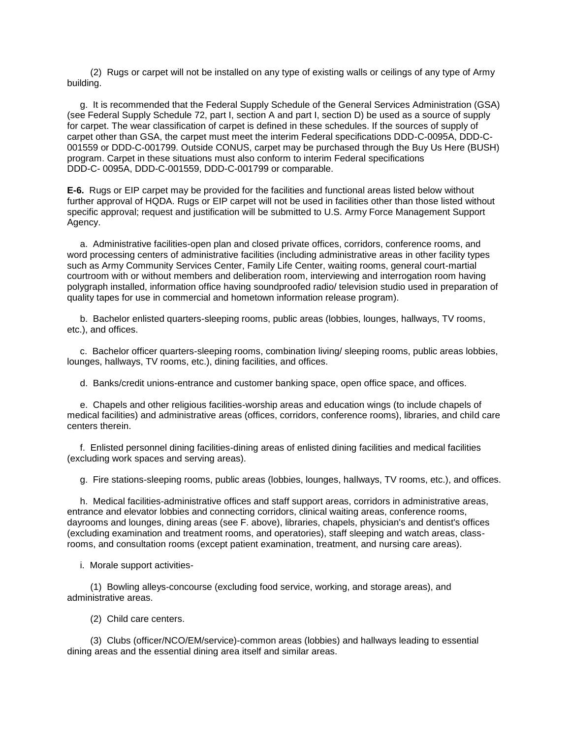(2) Rugs or carpet will not be installed on any type of existing walls or ceilings of any type of Army building.

 g. It is recommended that the Federal Supply Schedule of the General Services Administration (GSA) (see Federal Supply Schedule 72, part I, section A and part I, section D) be used as a source of supply for carpet. The wear classification of carpet is defined in these schedules. If the sources of supply of carpet other than GSA, the carpet must meet the interim Federal specifications DDD-C-0095A, DDD-C-001559 or DDD-C-001799. Outside CONUS, carpet may be purchased through the Buy Us Here (BUSH) program. Carpet in these situations must also conform to interim Federal specifications DDD-C- 0095A, DDD-C-001559, DDD-C-001799 or comparable.

**E-6.** Rugs or EIP carpet may be provided for the facilities and functional areas listed below without further approval of HQDA. Rugs or EIP carpet will not be used in facilities other than those listed without specific approval; request and justification will be submitted to U.S. Army Force Management Support Agency.

 a. Administrative facilities-open plan and closed private offices, corridors, conference rooms, and word processing centers of administrative facilities (including administrative areas in other facility types such as Army Community Services Center, Family Life Center, waiting rooms, general court-martial courtroom with or without members and deliberation room, interviewing and interrogation room having polygraph installed, information office having soundproofed radio/ television studio used in preparation of quality tapes for use in commercial and hometown information release program).

 b. Bachelor enlisted quarters-sleeping rooms, public areas (lobbies, lounges, hallways, TV rooms, etc.), and offices.

 c. Bachelor officer quarters-sleeping rooms, combination living/ sleeping rooms, public areas lobbies, lounges, hallways, TV rooms, etc.), dining facilities, and offices.

d. Banks/credit unions-entrance and customer banking space, open office space, and offices.

 e. Chapels and other religious facilities-worship areas and education wings (to include chapels of medical facilities) and administrative areas (offices, corridors, conference rooms), libraries, and child care centers therein.

 f. Enlisted personnel dining facilities-dining areas of enlisted dining facilities and medical facilities (excluding work spaces and serving areas).

g. Fire stations-sleeping rooms, public areas (lobbies, lounges, hallways, TV rooms, etc.), and offices.

 h. Medical facilities-administrative offices and staff support areas, corridors in administrative areas, entrance and elevator lobbies and connecting corridors, clinical waiting areas, conference rooms, dayrooms and lounges, dining areas (see F. above), libraries, chapels, physician's and dentist's offices (excluding examination and treatment rooms, and operatories), staff sleeping and watch areas, classrooms, and consultation rooms (except patient examination, treatment, and nursing care areas).

i. Morale support activities-

 (1) Bowling alleys-concourse (excluding food service, working, and storage areas), and administrative areas.

(2) Child care centers.

 (3) Clubs (officer/NCO/EM/service)-common areas (lobbies) and hallways leading to essential dining areas and the essential dining area itself and similar areas.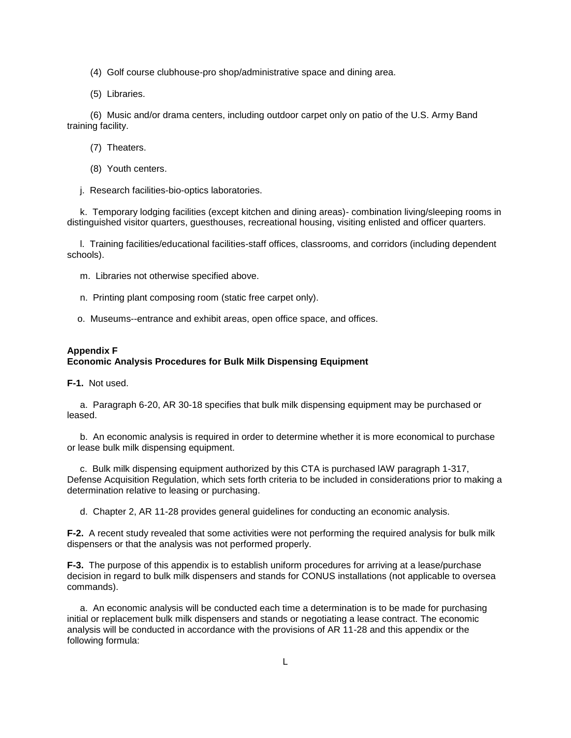- (4) Golf course clubhouse-pro shop/administrative space and dining area.
- (5) Libraries.

 (6) Music and/or drama centers, including outdoor carpet only on patio of the U.S. Army Band training facility.

- (7) Theaters.
- (8) Youth centers.
- j. Research facilities-bio-optics laboratories.

 k. Temporary lodging facilities (except kitchen and dining areas)- combination living/sleeping rooms in distinguished visitor quarters, guesthouses, recreational housing, visiting enlisted and officer quarters.

 l. Training facilities/educational facilities-staff offices, classrooms, and corridors (including dependent schools).

- m. Libraries not otherwise specified above.
- n. Printing plant composing room (static free carpet only).
- o. Museums--entrance and exhibit areas, open office space, and offices.

## **Appendix F**

## **Economic Analysis Procedures for Bulk Milk Dispensing Equipment**

**F-1.** Not used.

 a. Paragraph 6-20, AR 30-18 specifies that bulk milk dispensing equipment may be purchased or leased.

 b. An economic analysis is required in order to determine whether it is more economical to purchase or lease bulk milk dispensing equipment.

 c. Bulk milk dispensing equipment authorized by this CTA is purchased lAW paragraph 1-317, Defense Acquisition Regulation, which sets forth criteria to be included in considerations prior to making a determination relative to leasing or purchasing.

d. Chapter 2, AR 11-28 provides general guidelines for conducting an economic analysis.

**F-2.** A recent study revealed that some activities were not performing the required analysis for bulk milk dispensers or that the analysis was not performed properly.

**F-3.** The purpose of this appendix is to establish uniform procedures for arriving at a lease/purchase decision in regard to bulk milk dispensers and stands for CONUS installations (not applicable to oversea commands).

 a. An economic analysis will be conducted each time a determination is to be made for purchasing initial or replacement bulk milk dispensers and stands or negotiating a lease contract. The economic analysis will be conducted in accordance with the provisions of AR 11-28 and this appendix or the following formula: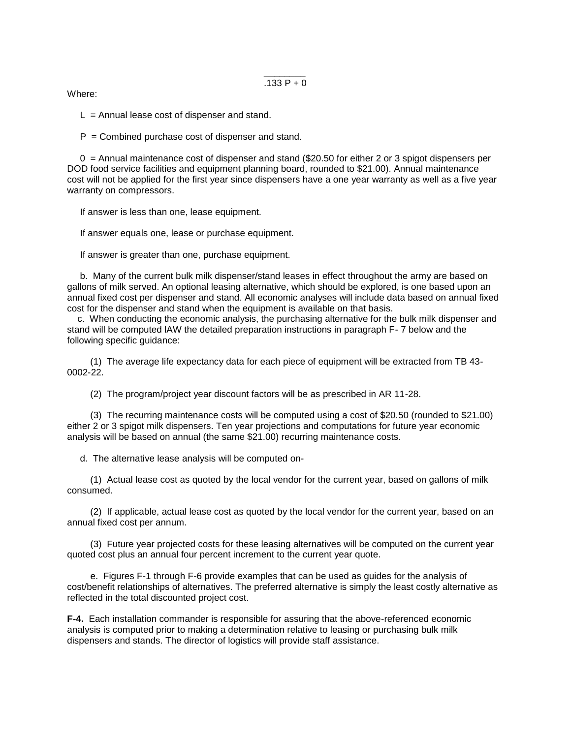$.133 P + 0$ 

Where:

 $L =$  Annual lease cost of dispenser and stand.

 $P =$  Combined purchase cost of dispenser and stand.

\_\_\_\_\_\_\_\_

 $0 =$  Annual maintenance cost of dispenser and stand (\$20.50 for either 2 or 3 spigot dispensers per DOD food service facilities and equipment planning board, rounded to \$21.00). Annual maintenance cost will not be applied for the first year since dispensers have a one year warranty as well as a five year warranty on compressors.

If answer is less than one, lease equipment.

If answer equals one, lease or purchase equipment.

If answer is greater than one, purchase equipment.

 b. Many of the current bulk milk dispenser/stand leases in effect throughout the army are based on gallons of milk served. An optional leasing alternative, which should be explored, is one based upon an annual fixed cost per dispenser and stand. All economic analyses will include data based on annual fixed cost for the dispenser and stand when the equipment is available on that basis.

 c. When conducting the economic analysis, the purchasing alternative for the bulk milk dispenser and stand will be computed lAW the detailed preparation instructions in paragraph F- 7 below and the following specific guidance:

 (1) The average life expectancy data for each piece of equipment will be extracted from TB 43- 0002-22.

(2) The program/project year discount factors will be as prescribed in AR 11-28.

 (3) The recurring maintenance costs will be computed using a cost of \$20.50 (rounded to \$21.00) either 2 or 3 spigot milk dispensers. Ten year projections and computations for future year economic analysis will be based on annual (the same \$21.00) recurring maintenance costs.

d. The alternative lease analysis will be computed on-

 (1) Actual lease cost as quoted by the local vendor for the current year, based on gallons of milk consumed.

 (2) If applicable, actual lease cost as quoted by the local vendor for the current year, based on an annual fixed cost per annum.

 (3) Future year projected costs for these leasing alternatives will be computed on the current year quoted cost plus an annual four percent increment to the current year quote.

 e. Figures F-1 through F-6 provide examples that can be used as guides for the analysis of cost/benefit relationships of alternatives. The preferred alternative is simply the least costly alternative as reflected in the total discounted project cost.

**F-4.** Each installation commander is responsible for assuring that the above-referenced economic analysis is computed prior to making a determination relative to leasing or purchasing bulk milk dispensers and stands. The director of logistics will provide staff assistance.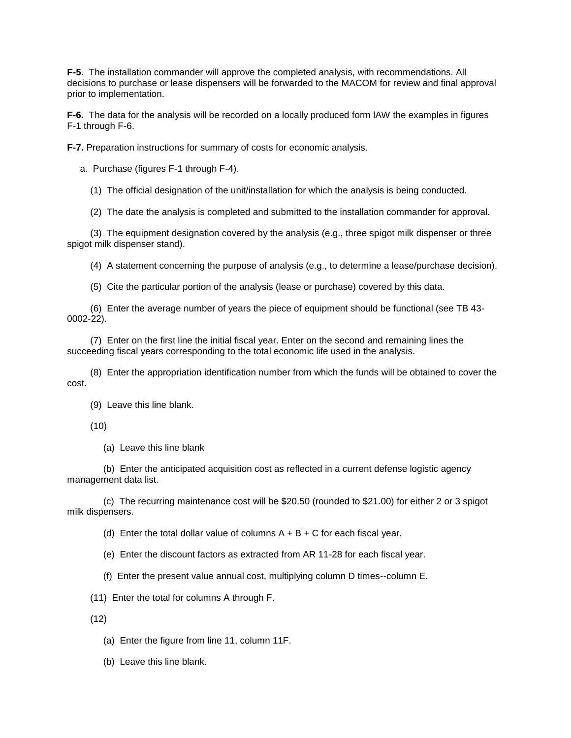**F-5.** The installation commander will approve the completed analysis, with recommendations. All decisions to purchase or lease dispensers will be forwarded to the MACOM for review and final approval prior to implementation.

**F-6.** The data for the analysis will be recorded on a locally produced form lAW the examples in figures F-1 through F-6.

**F-7.** Preparation instructions for summary of costs for economic analysis.

a. Purchase (figures F-1 through F-4).

(1) The official designation of the unit/installation for which the analysis is being conducted.

(2) The date the analysis is completed and submitted to the installation commander for approval.

 (3) The equipment designation covered by the analysis (e.g., three spigot milk dispenser or three spigot milk dispenser stand).

(4) A statement concerning the purpose of analysis (e.g., to determine a lease/purchase decision).

(5) Cite the particular portion of the analysis (lease or purchase) covered by this data.

 (6) Enter the average number of years the piece of equipment should be functional (see TB 43- 0002-22).

 (7) Enter on the first line the initial fiscal year. Enter on the second and remaining lines the succeeding fiscal years corresponding to the total economic life used in the analysis.

 (8) Enter the appropriation identification number from which the funds will be obtained to cover the cost.

(9) Leave this line blank.

(10)

(a) Leave this line blank

 (b) Enter the anticipated acquisition cost as reflected in a current defense logistic agency management data list.

 (c) The recurring maintenance cost will be \$20.50 (rounded to \$21.00) for either 2 or 3 spigot milk dispensers.

(d) Enter the total dollar value of columns  $A + B + C$  for each fiscal year.

(e) Enter the discount factors as extracted from AR 11-28 for each fiscal year.

(f) Enter the present value annual cost, multiplying column D times--column E.

(11) Enter the total for columns A through F.

(12)

(a) Enter the figure from line 11, column 11F.

(b) Leave this line blank.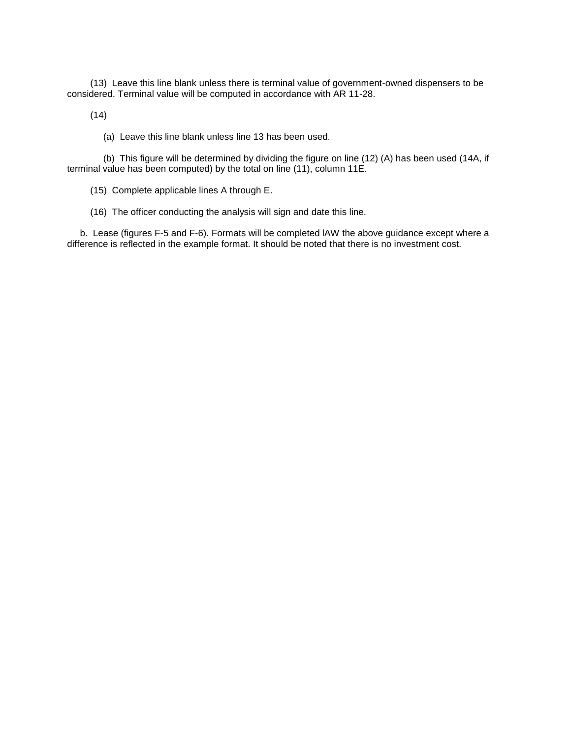(13) Leave this line blank unless there is terminal value of government-owned dispensers to be considered. Terminal value will be computed in accordance with AR 11-28.

(14)

(a) Leave this line blank unless line 13 has been used.

 (b) This figure will be determined by dividing the figure on line (12) (A) has been used (14A, if terminal value has been computed) by the total on line (11), column 11E.

(15) Complete applicable lines A through E.

(16) The officer conducting the analysis will sign and date this line.

 b. Lease (figures F-5 and F-6). Formats will be completed lAW the above guidance except where a difference is reflected in the example format. It should be noted that there is no investment cost.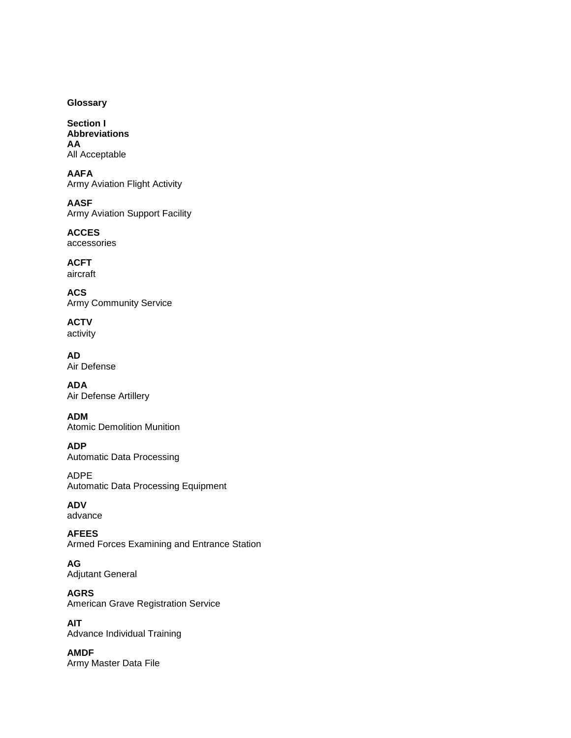# **Glossary**

**Section I Abbreviations AA**  All Acceptable

**AAFA**  Army Aviation Flight Activity

**AASF**  Army Aviation Support Facility

**ACCES**  accessories

**ACFT**  aircraft

**ACS**  Army Community Service

**ACTV**  activity

**AD**  Air Defense

**ADA**  Air Defense Artillery

**ADM**  Atomic Demolition Munition

**ADP**  Automatic Data Processing

ADPE Automatic Data Processing Equipment

**ADV**  advance

**AFEES**  Armed Forces Examining and Entrance Station

**AG**  Adjutant General

**AGRS**  American Grave Registration Service

**AIT**  Advance Individual Training

**AMDF**  Army Master Data File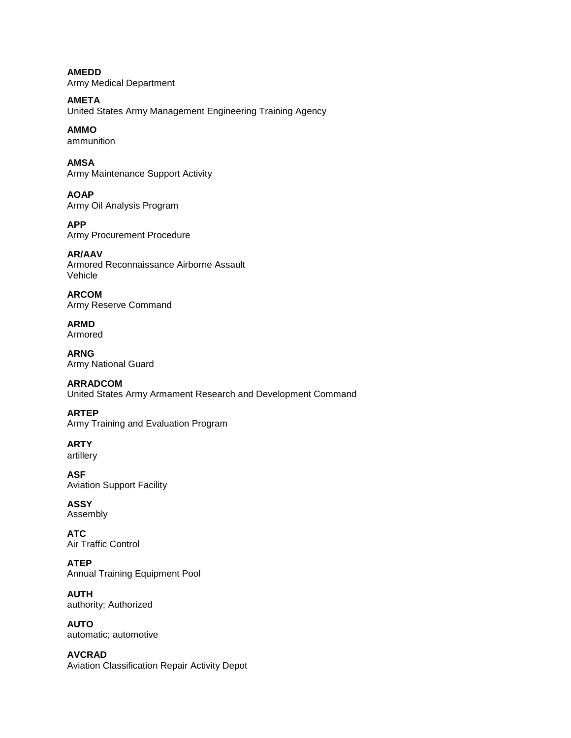**AMEDD**  Army Medical Department

**AMETA**  United States Army Management Engineering Training Agency

**AMMO**  ammunition

**AMSA**  Army Maintenance Support Activity

**AOAP**  Army Oil Analysis Program

**APP**  Army Procurement Procedure

**AR/AAV**  Armored Reconnaissance Airborne Assault Vehicle

**ARCOM**  Army Reserve Command

**ARMD**  Armored

**ARNG**  Army National Guard

**ARRADCOM**  United States Army Armament Research and Development Command

**ARTEP**  Army Training and Evaluation Program

**ARTY**  artillery

**ASF**  Aviation Support Facility

**ASSY**  Assembly

**ATC**  Air Traffic Control

**ATEP**  Annual Training Equipment Pool

**AUTH**  authority; Authorized

**AUTO**  automatic; automotive

**AVCRAD**  Aviation Classification Repair Activity Depot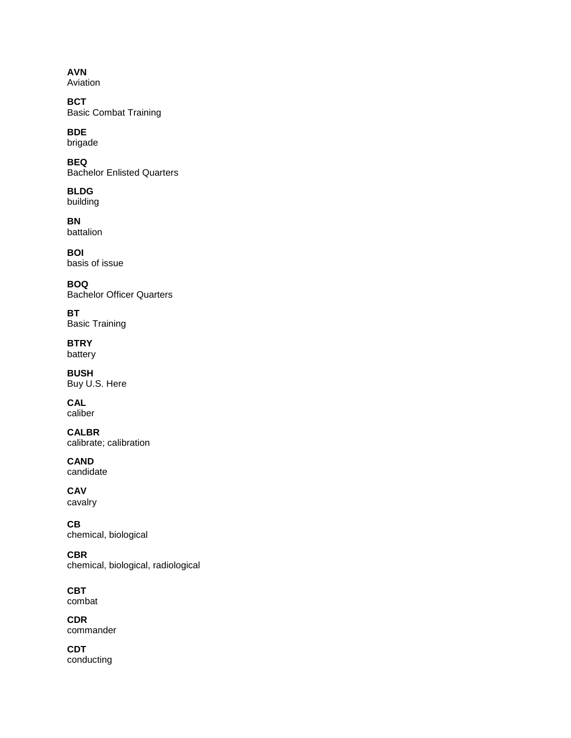**AVN**  Aviation

**BCT**  Basic Combat Training

**BDE**  brigade

**BEQ**  Bachelor Enlisted Quarters

**BLDG**  building

**BN**  battalion

**BOI**  basis of issue

**BOQ**  Bachelor Officer Quarters

**BT**  Basic Training

**BTRY**  battery

**BUSH**  Buy U.S. Here

**CAL**  caliber

**CALBR**  calibrate; calibration

**CAND**  candidate

**CAV**  cavalry

**CB**  chemical, biological

**CBR**  chemical, biological, radiological

**CBT**  combat

**CDR**  commander

**CDT**  conducting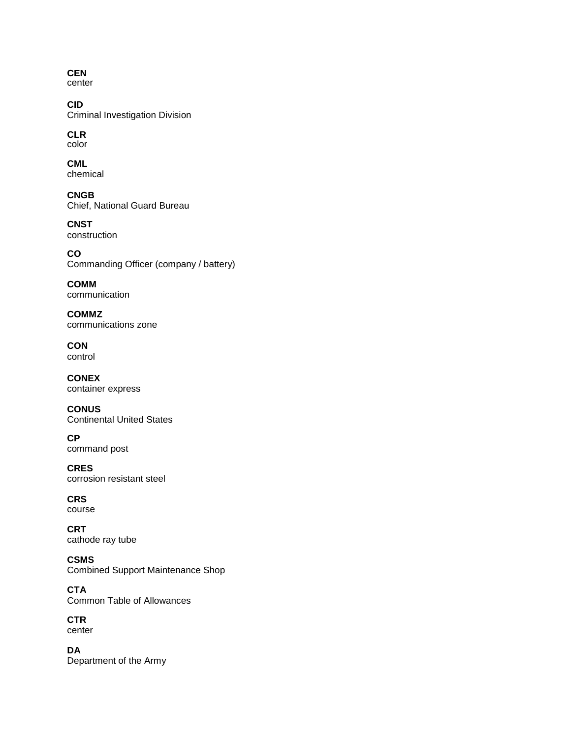**CEN**  center

**CID**  Criminal Investigation Division

**CLR**  color

**CML**  chemical

**CNGB**  Chief, National Guard Bureau

**CNST**  construction

**CO**  Commanding Officer (company / battery)

**COMM**  communication

**COMMZ**  communications zone

**CON**  control

**CONEX**  container express

**CONUS**  Continental United States

**CP**  command post

**CRES**  corrosion resistant steel

**CRS**  course

**CRT**  cathode ray tube

**CSMS**  Combined Support Maintenance Shop

**CTA**  Common Table of Allowances

**CTR**  center

**DA**  Department of the Army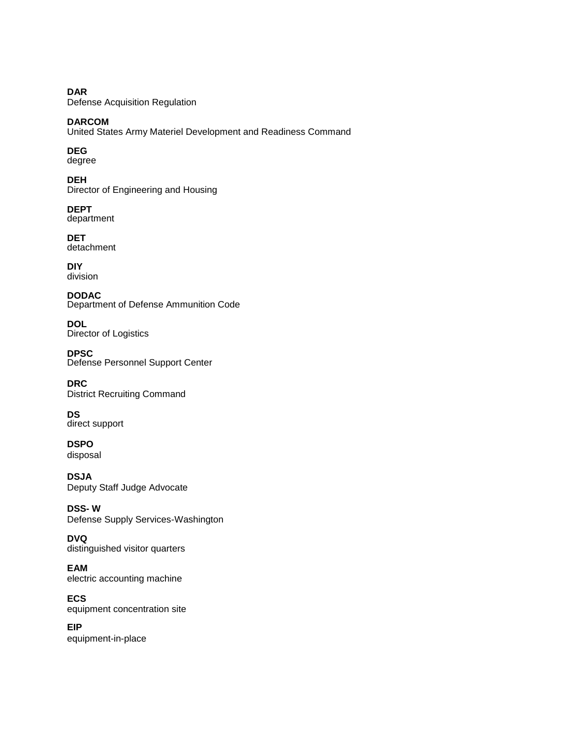**DAR**  Defense Acquisition Regulation

**DARCOM**  United States Army Materiel Development and Readiness Command

**DEG**  degree

**DEH**  Director of Engineering and Housing

**DEPT**  department

**DET**  detachment

**DIY**  division

**DODAC**  Department of Defense Ammunition Code

**DOL**  Director of Logistics

**DPSC**  Defense Personnel Support Center

**DRC**  District Recruiting Command

**DS**  direct support

**DSPO**  disposal

**DSJA**  Deputy Staff Judge Advocate

**DSS- W**  Defense Supply Services-Washington

**DVQ**  distinguished visitor quarters

**EAM**  electric accounting machine

**ECS**  equipment concentration site

**EIP**  equipment-in-place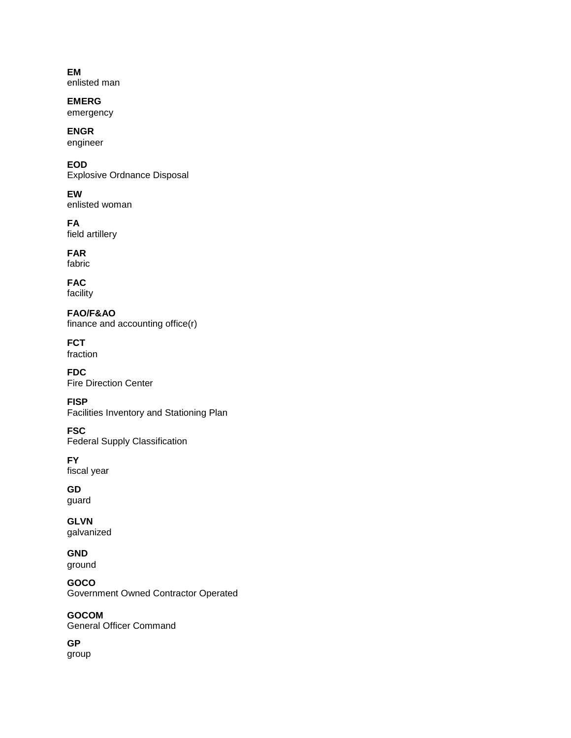**EM**  enlisted man

**EMERG**  emergency

**ENGR**  engineer

**EOD**  Explosive Ordnance Disposal

**EW**  enlisted woman

**FA**  field artillery

**FAR**  fabric

**FAC**  facility

**FAO/F&AO**  finance and accounting office(r)

**FCT**  fraction

**FDC**  Fire Direction Center

**FISP**  Facilities Inventory and Stationing Plan

**FSC**  Federal Supply Classification

**FY**  fiscal year

**GD**  guard

**GLVN** galvanized

**GND** ground

**GOCO**  Government Owned Contractor Operated

**GOCOM**  General Officer Command

**GP**  group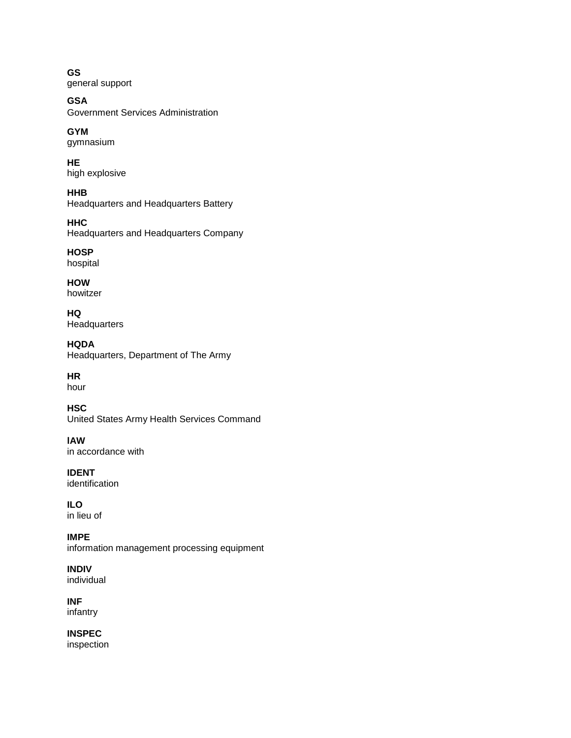**GS**  general support

**GSA** Government Services Administration

**GYM**  gymnasium

**HE**  high explosive

**HHB**  Headquarters and Headquarters Battery

**HHC**  Headquarters and Headquarters Company

**HOSP**  hospital

**HOW**  howitzer

**HQ Headquarters** 

**HQDA**  Headquarters, Department of The Army

**HR**

hour

**HSC**  United States Army Health Services Command

**lAW**  in accordance with

**IDENT**  identification

**ILO**  in lieu of

**IMPE**  information management processing equipment

**INDIV**  individual

**INF**  infantry

**INSPEC**  inspection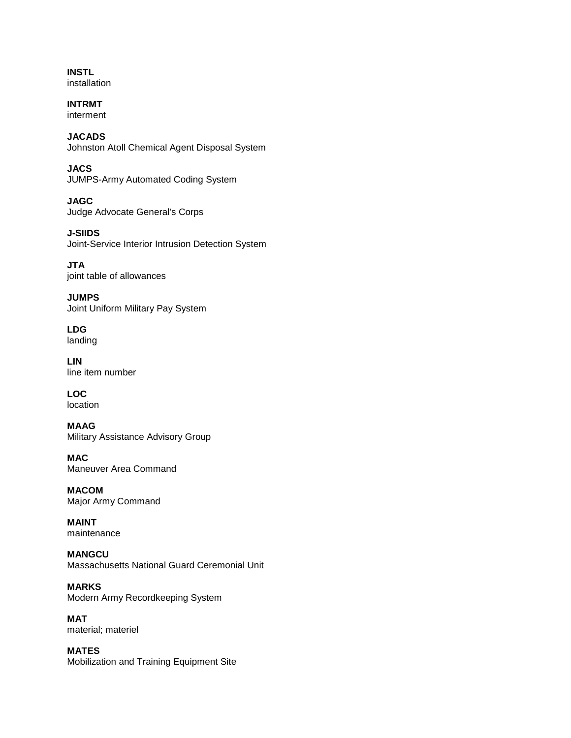**INSTL**  installation

**INTRMT**  interment

**JACADS**  Johnston Atoll Chemical Agent Disposal System

**JACS**  JUMPS-Army Automated Coding System

**JAGC**  Judge Advocate General's Corps

**J-SIIDS**  Joint-Service Interior Intrusion Detection System

**JTA**  joint table of allowances

**JUMPS**  Joint Uniform Military Pay System

**LDG**  landing

**LIN**  line item number

**LOC**  location

**MAAG**  Military Assistance Advisory Group

**MAC**  Maneuver Area Command

**MACOM**  Major Army Command

**MAINT**  maintenance

**MANGCU**  Massachusetts National Guard Ceremonial Unit

**MARKS**  Modern Army Recordkeeping System

**MAT**  material; materiel

**MATES**  Mobilization and Training Equipment Site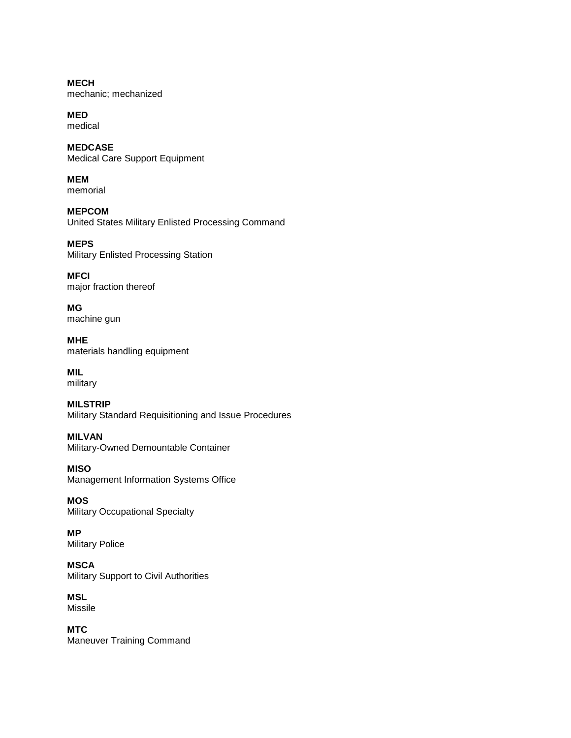**MECH**  mechanic; mechanized

**MED**  medical

**MEDCASE**  Medical Care Support Equipment

**MEM**  memorial

**MEPCOM**  United States Military Enlisted Processing Command

**MEPS**  Military Enlisted Processing Station

**MFCI** major fraction thereof

**MG**  machine gun

**MHE**  materials handling equipment

**MIL**  military

**MILSTRIP**  Military Standard Requisitioning and Issue Procedures

**MILVAN**  Military-Owned Demountable Container

**MISO**  Management Information Systems Office

**MOS**  Military Occupational Specialty

**MP**  Military Police

**MSCA** Military Support to Civil Authorities

**MSL**  Missile

**MTC**  Maneuver Training Command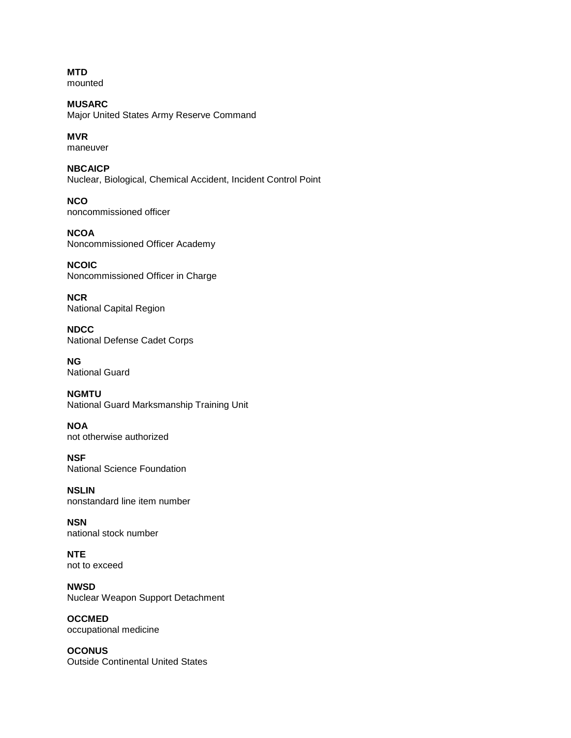**MTD**  mounted

**MUSARC**  Major United States Army Reserve Command

**MVR**  maneuver

**NBCAICP**  Nuclear, Biological, Chemical Accident, Incident Control Point

**NCO**  noncommissioned officer

**NCOA**  Noncommissioned Officer Academy

**NCOIC**  Noncommissioned Officer in Charge

**NCR**  National Capital Region

**NDCC**  National Defense Cadet Corps

**NG**  National Guard

**NGMTU**  National Guard Marksmanship Training Unit

**NOA**  not otherwise authorized

**NSF**  National Science Foundation

**NSLIN**  nonstandard line item number

**NSN**  national stock number

**NTE**  not to exceed

**NWSD**  Nuclear Weapon Support Detachment

**OCCMED**  occupational medicine

**OCONUS**  Outside Continental United States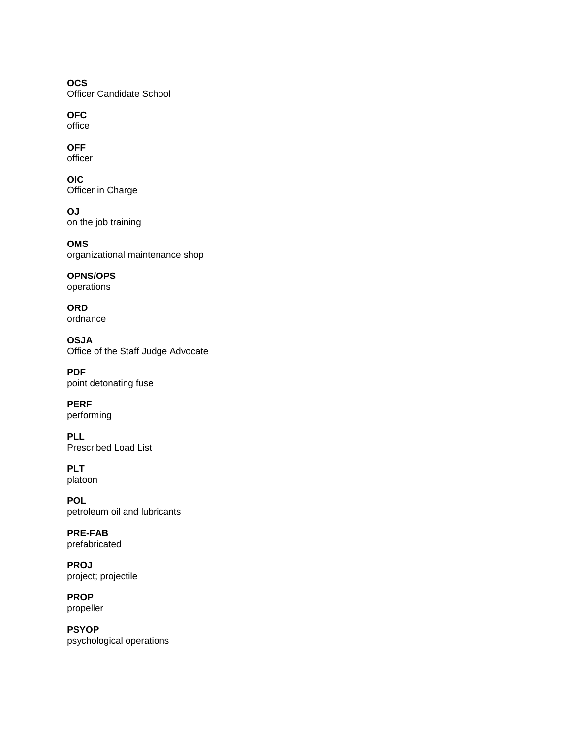**OCS**  Officer Candidate School

**OFC** office

**OFF**  officer

**OIC**  Officer in Charge

**OJ** on the job training

**OMS**  organizational maintenance shop

**OPNS/OPS**  operations

**ORD**  ordnance

**OSJA**  Office of the Staff Judge Advocate

**PDF**  point detonating fuse

**PERF**  performing

**PLL**  Prescribed Load List

**PLT**  platoon

**POL**  petroleum oil and lubricants

**PRE-FAB**  prefabricated

**PROJ**  project; projectile

**PROP**  propeller

**PSYOP**  psychological operations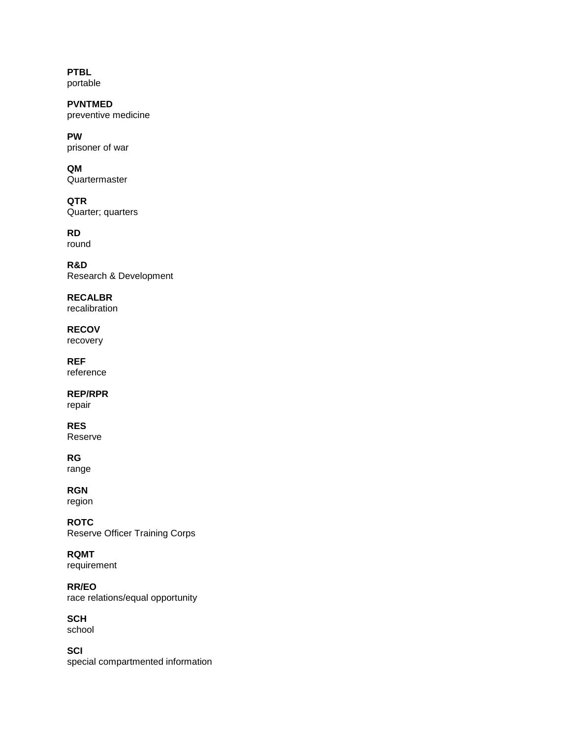**PTBL**  portable

**PVNTMED**  preventive medicine

**PW**  prisoner of war

**QM**  Quartermaster

**QTR**  Quarter; quarters

**RD**  round

**R&D** Research & Development

**RECALBR** recalibration

**RECOV**  recovery

**REF**  reference

**REP/RPR** 

repair

**RES**  Reserve

**RG** 

range

**RGN** region

**ROTC**  Reserve Officer Training Corps

**RQMT**  requirement

**RR/EO**  race relations/equal opportunity

**SCH** 

school

**SCI**  special compartmented information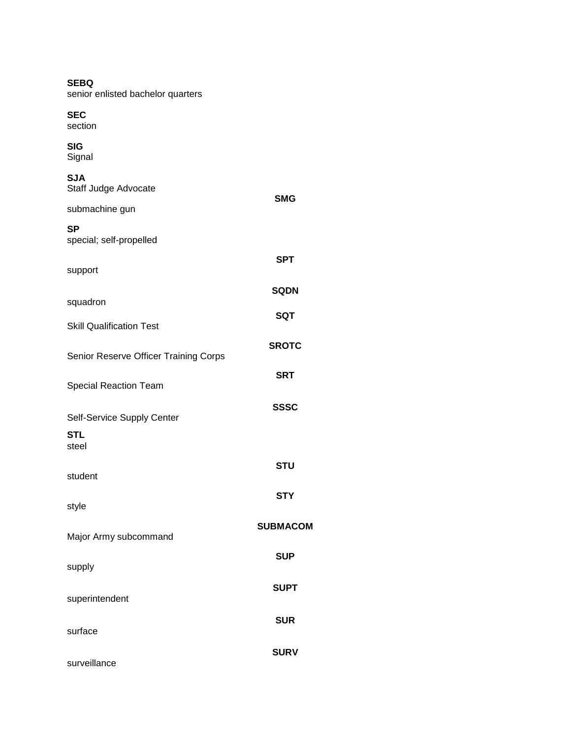| <b>SEBQ</b><br>senior enlisted bachelor quarters |                 |
|--------------------------------------------------|-----------------|
| <b>SEC</b><br>section                            |                 |
| SIG<br>Signal                                    |                 |
| <b>SJA</b><br>Staff Judge Advocate               |                 |
| submachine gun                                   | <b>SMG</b>      |
| <b>SP</b><br>special; self-propelled             |                 |
| support                                          | <b>SPT</b>      |
|                                                  | <b>SQDN</b>     |
| squadron                                         | <b>SQT</b>      |
| <b>Skill Qualification Test</b>                  |                 |
| Senior Reserve Officer Training Corps            | <b>SROTC</b>    |
| <b>Special Reaction Team</b>                     | <b>SRT</b>      |
| Self-Service Supply Center                       | <b>SSSC</b>     |
| STL<br>steel                                     |                 |
|                                                  | <b>STU</b>      |
| student                                          | <b>STY</b>      |
| style                                            |                 |
| Major Army subcommand                            | <b>SUBMACOM</b> |
| supply                                           | <b>SUP</b>      |
| superintendent                                   | <b>SUPT</b>     |
| surface                                          | <b>SUR</b>      |
|                                                  | <b>SURV</b>     |
| surveillance                                     |                 |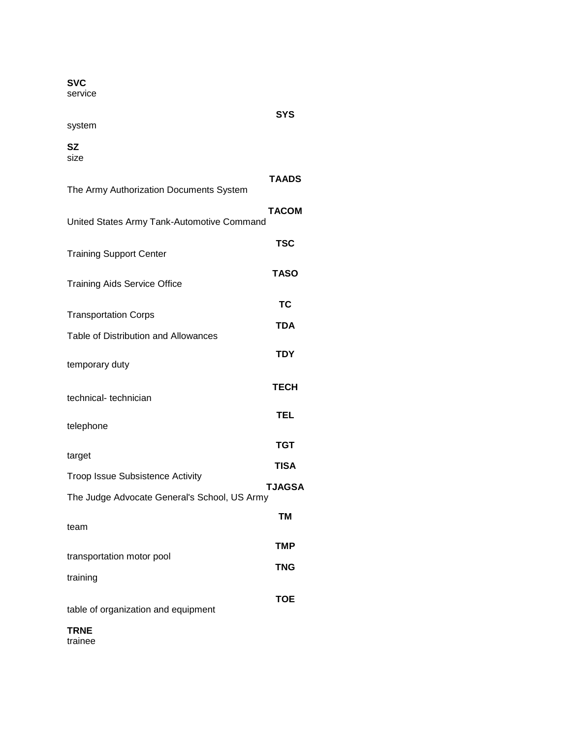# **SVC**

service

# **SYS**

# system

# **SZ**

size

| The Army Authorization Documents System      | <b>TAADS</b>  |
|----------------------------------------------|---------------|
| United States Army Tank-Automotive Command   | <b>TACOM</b>  |
| <b>Training Support Center</b>               | <b>TSC</b>    |
| <b>Training Aids Service Office</b>          | <b>TASO</b>   |
| <b>Transportation Corps</b>                  | <b>TC</b>     |
| Table of Distribution and Allowances         | <b>TDA</b>    |
| temporary duty                               | <b>TDY</b>    |
| technical-technician                         | <b>TECH</b>   |
| telephone                                    | <b>TEL</b>    |
| target                                       | <b>TGT</b>    |
| <b>Troop Issue Subsistence Activity</b>      | <b>TISA</b>   |
| The Judge Advocate General's School, US Army | <b>TJAGSA</b> |
| team                                         | <b>TM</b>     |
|                                              | <b>TMP</b>    |
| transportation motor pool                    | <b>TNG</b>    |
| training                                     |               |
| table of organization and equipment          | <b>TOE</b>    |
| <b>TRNE</b>                                  |               |

trainee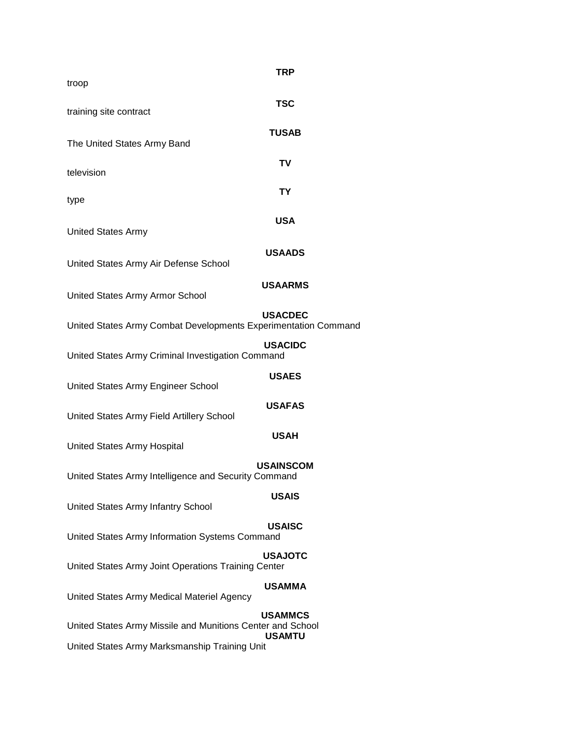| TRP                                                                                                                                            |
|------------------------------------------------------------------------------------------------------------------------------------------------|
| <b>TSC</b>                                                                                                                                     |
| <b>TUSAB</b>                                                                                                                                   |
| <b>TV</b>                                                                                                                                      |
| <b>TY</b>                                                                                                                                      |
| <b>USA</b>                                                                                                                                     |
| <b>USAADS</b>                                                                                                                                  |
| <b>USAARMS</b>                                                                                                                                 |
| <b>USACDEC</b><br>United States Army Combat Developments Experimentation Command                                                               |
| <b>USACIDC</b><br>United States Army Criminal Investigation Command                                                                            |
| <b>USAES</b>                                                                                                                                   |
| <b>USAFAS</b>                                                                                                                                  |
| <b>USAH</b>                                                                                                                                    |
| <b>USAINSCOM</b><br>United States Army Intelligence and Security Command                                                                       |
| <b>USAIS</b>                                                                                                                                   |
| <b>USAISC</b><br>United States Army Information Systems Command                                                                                |
| <b>USAJOTC</b><br>United States Army Joint Operations Training Center                                                                          |
| <b>USAMMA</b><br>United States Army Medical Materiel Agency                                                                                    |
| <b>USAMMCS</b><br>United States Army Missile and Munitions Center and School<br><b>USAMTU</b><br>United States Army Marksmanship Training Unit |
|                                                                                                                                                |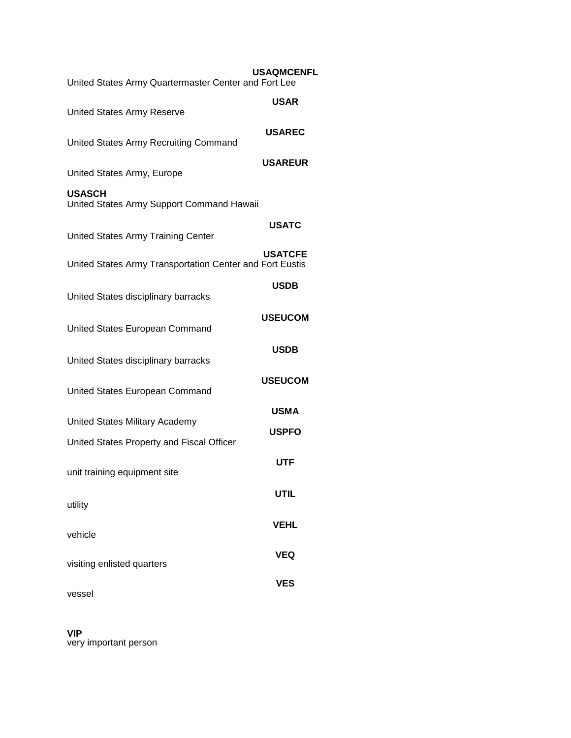| United States Army Quartermaster Center and Fort Lee       | <b>USAQMCENFL</b> |
|------------------------------------------------------------|-------------------|
| <b>United States Army Reserve</b>                          | <b>USAR</b>       |
| United States Army Recruiting Command                      | <b>USAREC</b>     |
| United States Army, Europe                                 | <b>USAREUR</b>    |
| <b>USASCH</b><br>United States Army Support Command Hawaii |                   |
| <b>United States Army Training Center</b>                  | <b>USATC</b>      |
| United States Army Transportation Center and Fort Eustis   | <b>USATCFE</b>    |
| United States disciplinary barracks                        | <b>USDB</b>       |
| United States European Command                             | <b>USEUCOM</b>    |
| United States disciplinary barracks                        | <b>USDB</b>       |
| United States European Command                             | <b>USEUCOM</b>    |
| United States Military Academy                             | <b>USMA</b>       |
| United States Property and Fiscal Officer                  | <b>USPFO</b>      |
| unit training equipment site                               | UTF               |
| utility                                                    | <b>UTIL</b>       |
| vehicle                                                    | VEHL              |
| visiting enlisted quarters                                 | <b>VEQ</b>        |
| vessel                                                     | <b>VES</b>        |

## **VIP**

very important person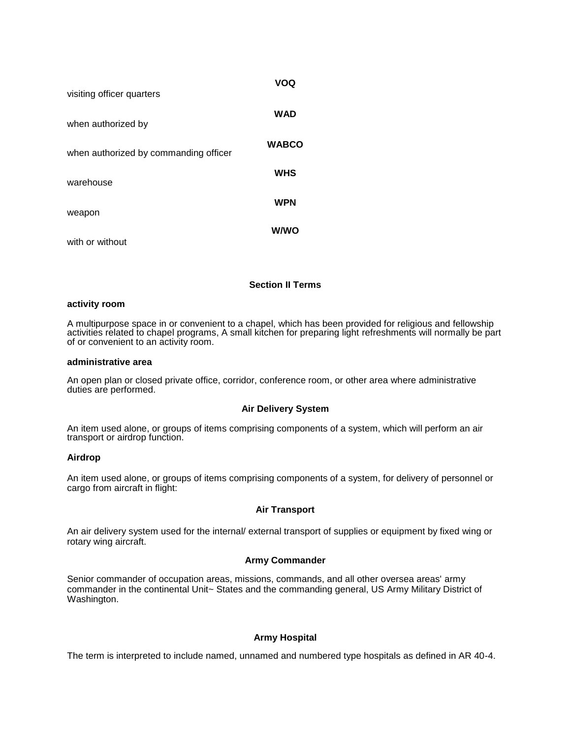| visiting officer quarters             | VOQ          |
|---------------------------------------|--------------|
| when authorized by                    | <b>WAD</b>   |
| when authorized by commanding officer | <b>WABCO</b> |
| warehouse                             | <b>WHS</b>   |
| weapon                                | <b>WPN</b>   |
| with or without                       | <b>W/WO</b>  |

## **Section II Terms**

## **activity room**

A multipurpose space in or convenient to a chapel, which has been provided for religious and fellowship activities related to chapel programs, A small kitchen for preparing light refreshments will normally be part of or convenient to an activity room.

#### **administrative area**

An open plan or closed private office, corridor, conference room, or other area where administrative duties are performed.

#### **Air Delivery System**

An item used alone, or groups of items comprising components of a system, which will perform an air transport or airdrop function.

#### **Airdrop**

An item used alone, or groups of items comprising components of a system, for delivery of personnel or cargo from aircraft in flight:

#### **Air Transport**

An air delivery system used for the internal/ external transport of supplies or equipment by fixed wing or rotary wing aircraft.

#### **Army Commander**

Senior commander of occupation areas, missions, commands, and all other oversea areas' army commander in the continental Unit~ States and the commanding general, US Army Military District of Washington.

## **Army Hospital**

The term is interpreted to include named, unnamed and numbered type hospitals as defined in AR 40-4.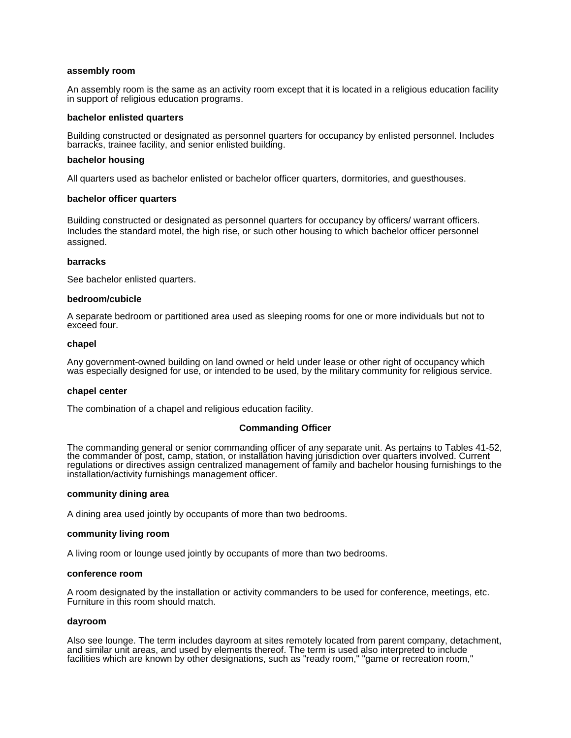#### **assembly room**

An assembly room is the same as an activity room except that it is located in a religious education facility in support of religious education programs.

#### **bachelor enlisted quarters**

Building constructed or designated as personnel quarters for occupancy by enlisted personnel. Includes barracks, trainee facility, and senior enlisted building.

#### **bachelor housing**

All quarters used as bachelor enlisted or bachelor officer quarters, dormitories, and guesthouses.

#### **bachelor officer quarters**

Building constructed or designated as personnel quarters for occupancy by officers/ warrant officers. Includes the standard motel, the high rise, or such other housing to which bachelor officer personnel assigned.

#### **barracks**

See bachelor enlisted quarters.

#### **bedroom/cubicle**

A separate bedroom or partitioned area used as sleeping rooms for one or more individuals but not to exceed four.

#### **chapel**

Any government-owned building on land owned or held under lease or other right of occupancy which was especially designed for use, or intended to be used, by the military community for religious service.

#### **chapel center**

The combination of a chapel and religious education facility.

#### **Commanding Officer**

The commanding general or senior commanding officer of any separate unit. As pertains to Tables 41-52, the commander ŏf post, camp, station, or installătion having júrisdiction over quarters involved. Current regulations or directives assign centralized management of family and bachelor housing furnishings to the installation/activity furnishings management officer.

#### **community dining area**

A dining area used jointly by occupants of more than two bedrooms.

#### **community living room**

A living room or lounge used jointly by occupants of more than two bedrooms.

#### **conference room**

A room designated by the installation or activity commanders to be used for conference, meetings, etc. Furniture in this room should match.

#### **dayroom**

Also see lounge. The term includes dayroom at sites remotely located from parent company, detachment, and similar unit areas, and used by elements thereof. The term is used also interpreted to include facilities which are known by other designations, such as "ready room," "game or recreation room,"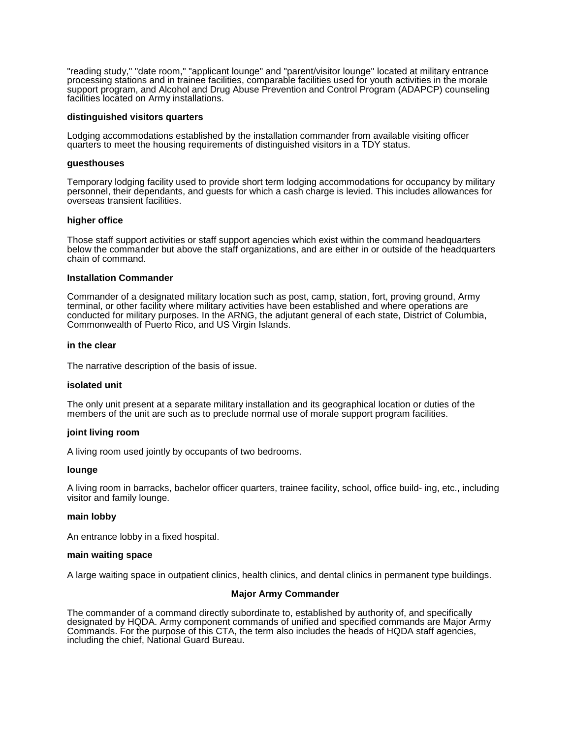"reading study," "date room," "applicant lounge" and "parent/visitor lounge" located at military entrance processing stations and in trainee facilities, comparable facilities used for youth activities in the morale support program, and Alcohol and Drug Abuse Prevention and Control Program (ADAPCP) counseling facilities located on Army installations.

#### **distinguished visitors quarters**

Lodging accommodations established by the installation commander from available visiting officer quarters to meet the housing requirements of distinguished visitors in a TDY status.

#### **guesthouses**

Temporary lodging facility used to provide short term lodging accommodations for occupancy by military personnel, their dependants, and guests for which a cash charge is levied. This includes allowances for overseas transient facilities.

#### **higher office**

Those staff support activities or staff support agencies which exist within the command headquarters below the commander but above the staff organizations, and are either in or outside of the headquarters chain of command.

#### **Installation Commander**

Commander of a designated military location such as post, camp, station, fort, proving ground, Army terminal, or other facility where military activities have been established and where operations are conducted for military purposes. In the ARNG, the adjutant general of each state, District of Columbia, Commonwealth of Puerto Rico, and US Virgin Islands.

#### **in the clear**

The narrative description of the basis of issue.

#### **isolated unit**

The only unit present at a separate military installation and its geographical location or duties of the members of the unit are such as to preclude normal use of morale support program facilities.

#### **joint living room**

A living room used jointly by occupants of two bedrooms.

#### **lounge**

A living room in barracks, bachelor officer quarters, trainee facility, school, office build- ing, etc., including visitor and family lounge.

#### **main lobby**

An entrance lobby in a fixed hospital.

#### **main waiting space**

A large waiting space in outpatient clinics, health clinics, and dental clinics in permanent type buildings.

#### **Major Army Commander**

The commander of a command directly subordinate to, established by authority of, and specifically designated by HQDA. Army component commands of unified and specified commands are Major Army Commands. For the purpose of this CTA, the term also includes the heads of HQDA staff agencies, including the chief, National Guard Bureau.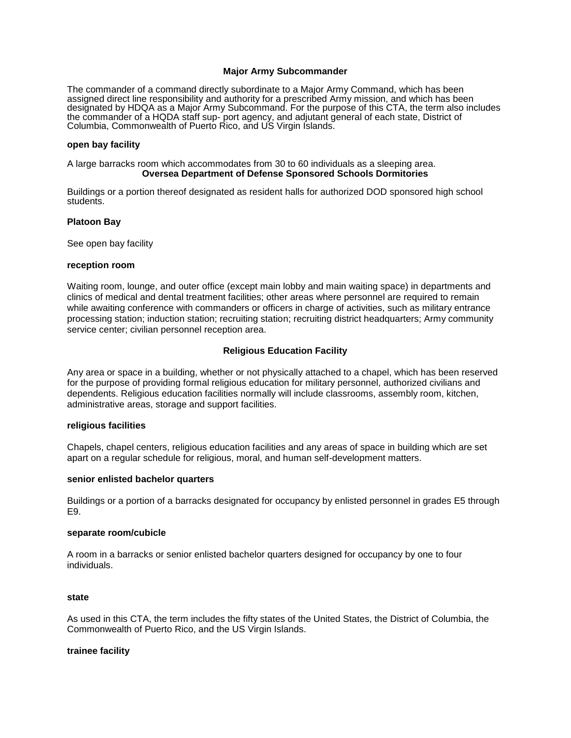## **Major Army Subcommander**

The commander of a command directly subordinate to a Major Army Command, which has been assigned direct line responsibility and authority for a prescribed Army mission, and which has been designated by HDQA as a Major Army Subcommand. For the purpose of this CTA, the term also includes the commander of a HQDA staff sup- port agency, and adjutant general of each state, District of Columbia, Commonwealth of Puerto Rico, and US Virgin Islands.

#### **open bay facility**

A large barracks room which accommodates from 30 to 60 individuals as a sleeping area. **Oversea Department of Defense Sponsored Schools Dormitories** 

Buildings or a portion thereof designated as resident halls for authorized DOD sponsored high school students.

#### **Platoon Bay**

See open bay facility

#### **reception room**

Waiting room, lounge, and outer office (except main lobby and main waiting space) in departments and clinics of medical and dental treatment facilities; other areas where personnel are required to remain while awaiting conference with commanders or officers in charge of activities, such as military entrance processing station; induction station; recruiting station; recruiting district headquarters; Army community service center; civilian personnel reception area.

## **Religious Education Facility**

Any area or space in a building, whether or not physically attached to a chapel, which has been reserved for the purpose of providing formal religious education for military personnel, authorized civilians and dependents. Religious education facilities normally will include classrooms, assembly room, kitchen, administrative areas, storage and support facilities.

#### **religious facilities**

Chapels, chapel centers, religious education facilities and any areas of space in building which are set apart on a regular schedule for religious, moral, and human self-development matters.

#### **senior enlisted bachelor quarters**

Buildings or a portion of a barracks designated for occupancy by enlisted personnel in grades E5 through E9.

## **separate room/cubicle**

A room in a barracks or senior enlisted bachelor quarters designed for occupancy by one to four individuals.

#### **state**

As used in this CTA, the term includes the fifty states of the United States, the District of Columbia, the Commonwealth of Puerto Rico, and the US Virgin Islands.

#### **trainee facility**